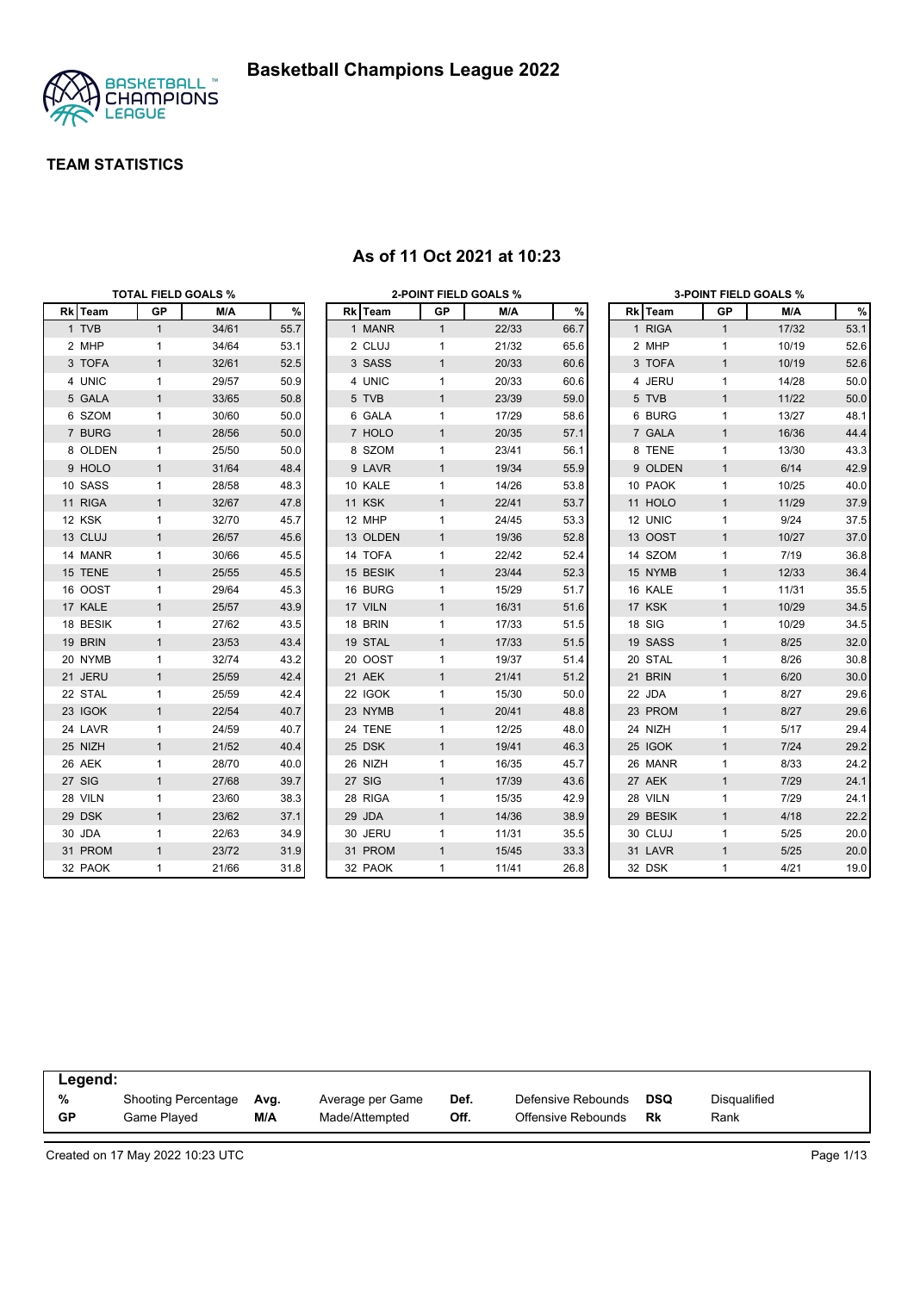

|          | <b>TOTAL FIELD GOALS %</b> |       |      |          | <b>2-POINT FIELD GOALS %</b> |       |      |          |              | <b>3-POINT FIELD GOALS %</b> |      |
|----------|----------------------------|-------|------|----------|------------------------------|-------|------|----------|--------------|------------------------------|------|
| Rk Team  | <b>GP</b>                  | M/A   | $\%$ | Rk Team  | GP                           | M/A   | %    | Rk Team  | GP           | M/A                          | $\%$ |
| 1 TVB    | $\mathbf{1}$               | 34/61 | 55.7 | 1 MANR   | $\mathbf{1}$                 | 22/33 | 66.7 | 1 RIGA   | $\mathbf{1}$ | 17/32                        | 53.1 |
| 2 MHP    | $\mathbf{1}$               | 34/64 | 53.1 | 2 CLUJ   | $\mathbf{1}$                 | 21/32 | 65.6 | 2 MHP    | $\mathbf{1}$ | 10/19                        | 52.6 |
| 3 TOFA   | $\mathbf{1}$               | 32/61 | 52.5 | 3 SASS   | $\mathbf{1}$                 | 20/33 | 60.6 | 3 TOFA   | $\mathbf{1}$ | 10/19                        | 52.6 |
| 4 UNIC   | $\mathbf{1}$               | 29/57 | 50.9 | 4 UNIC   | $\mathbf{1}$                 | 20/33 | 60.6 | 4 JERU   | $\mathbf{1}$ | 14/28                        | 50.0 |
| 5 GALA   | $\mathbf{1}$               | 33/65 | 50.8 | 5 TVB    | $\mathbf{1}$                 | 23/39 | 59.0 | 5 TVB    | $\mathbf{1}$ | 11/22                        | 50.0 |
| 6 SZOM   | $\mathbf{1}$               | 30/60 | 50.0 | 6 GALA   | $\mathbf{1}$                 | 17/29 | 58.6 | 6 BURG   | $\mathbf{1}$ | 13/27                        | 48.1 |
| 7 BURG   | $\mathbf{1}$               | 28/56 | 50.0 | 7 HOLO   | $\mathbf{1}$                 | 20/35 | 57.1 | 7 GALA   | $\mathbf{1}$ | 16/36                        | 44.4 |
| 8 OLDEN  | $\mathbf{1}$               | 25/50 | 50.0 | 8 SZOM   | 1                            | 23/41 | 56.1 | 8 TENE   | $\mathbf{1}$ | 13/30                        | 43.3 |
| 9 HOLO   | $\mathbf{1}$               | 31/64 | 48.4 | 9 LAVR   | $\mathbf{1}$                 | 19/34 | 55.9 | 9 OLDEN  | $\mathbf{1}$ | 6/14                         | 42.9 |
| 10 SASS  | $\mathbf{1}$               | 28/58 | 48.3 | 10 KALE  | 1                            | 14/26 | 53.8 | 10 PAOK  | $\mathbf{1}$ | 10/25                        | 40.0 |
| 11 RIGA  | $\mathbf{1}$               | 32/67 | 47.8 | 11 KSK   | $\mathbf{1}$                 | 22/41 | 53.7 | 11 HOLO  | $\mathbf{1}$ | 11/29                        | 37.9 |
| 12 KSK   | $\mathbf{1}$               | 32/70 | 45.7 | 12 MHP   | 1                            | 24/45 | 53.3 | 12 UNIC  | $\mathbf{1}$ | 9/24                         | 37.5 |
| 13 CLUJ  | $\mathbf{1}$               | 26/57 | 45.6 | 13 OLDEN | $\mathbf{1}$                 | 19/36 | 52.8 | 13 OOST  | $\mathbf{1}$ | 10/27                        | 37.0 |
| 14 MANR  | $\mathbf{1}$               | 30/66 | 45.5 | 14 TOFA  | 1                            | 22/42 | 52.4 | 14 SZOM  | $\mathbf{1}$ | 7/19                         | 36.8 |
| 15 TENE  | $\mathbf{1}$               | 25/55 | 45.5 | 15 BESIK | $\mathbf{1}$                 | 23/44 | 52.3 | 15 NYMB  | $\mathbf{1}$ | 12/33                        | 36.4 |
| 16 OOST  | $\mathbf{1}$               | 29/64 | 45.3 | 16 BURG  | 1                            | 15/29 | 51.7 | 16 KALE  | $\mathbf{1}$ | 11/31                        | 35.5 |
| 17 KALE  | $\mathbf{1}$               | 25/57 | 43.9 | 17 VILN  | $\mathbf{1}$                 | 16/31 | 51.6 | 17 KSK   | $\mathbf{1}$ | 10/29                        | 34.5 |
| 18 BESIK | $\mathbf{1}$               | 27/62 | 43.5 | 18 BRIN  | 1                            | 17/33 | 51.5 | 18 SIG   | $\mathbf{1}$ | 10/29                        | 34.5 |
| 19 BRIN  | $\mathbf{1}$               | 23/53 | 43.4 | 19 STAL  | $\mathbf{1}$                 | 17/33 | 51.5 | 19 SASS  | $\mathbf{1}$ | 8/25                         | 32.0 |
| 20 NYMB  | $\mathbf{1}$               | 32/74 | 43.2 | 20 OOST  | $\mathbf{1}$                 | 19/37 | 51.4 | 20 STAL  | $\mathbf{1}$ | 8/26                         | 30.8 |
| 21 JERU  | $\mathbf{1}$               | 25/59 | 42.4 | 21 AEK   | $\mathbf{1}$                 | 21/41 | 51.2 | 21 BRIN  | $\mathbf{1}$ | 6/20                         | 30.0 |
| 22 STAL  | $\mathbf{1}$               | 25/59 | 42.4 | 22 IGOK  | $\mathbf{1}$                 | 15/30 | 50.0 | 22 JDA   | $\mathbf{1}$ | 8/27                         | 29.6 |
| 23 IGOK  | $\mathbf{1}$               | 22/54 | 40.7 | 23 NYMB  | $\mathbf{1}$                 | 20/41 | 48.8 | 23 PROM  | $\mathbf{1}$ | 8/27                         | 29.6 |
| 24 LAVR  | $\mathbf{1}$               | 24/59 | 40.7 | 24 TENE  | $\mathbf{1}$                 | 12/25 | 48.0 | 24 NIZH  | $\mathbf{1}$ | 5/17                         | 29.4 |
| 25 NIZH  | $\mathbf{1}$               | 21/52 | 40.4 | 25 DSK   | $\mathbf{1}$                 | 19/41 | 46.3 | 25 IGOK  | $\mathbf{1}$ | $7/24$                       | 29.2 |
| 26 AEK   | $\mathbf{1}$               | 28/70 | 40.0 | 26 NIZH  | 1                            | 16/35 | 45.7 | 26 MANR  | $\mathbf{1}$ | 8/33                         | 24.2 |
| 27 SIG   | $\mathbf{1}$               | 27/68 | 39.7 | 27 SIG   | $\mathbf{1}$                 | 17/39 | 43.6 | 27 AEK   | $\mathbf{1}$ | 7/29                         | 24.1 |
| 28 VILN  | $\mathbf{1}$               | 23/60 | 38.3 | 28 RIGA  | 1                            | 15/35 | 42.9 | 28 VILN  | $\mathbf{1}$ | 7/29                         | 24.1 |
| 29 DSK   | $\mathbf{1}$               | 23/62 | 37.1 | 29 JDA   | $\mathbf{1}$                 | 14/36 | 38.9 | 29 BESIK | $\mathbf{1}$ | 4/18                         | 22.2 |
| 30 JDA   | $\mathbf{1}$               | 22/63 | 34.9 | 30 JERU  | 1                            | 11/31 | 35.5 | 30 CLUJ  | 1            | 5/25                         | 20.0 |
| 31 PROM  | $\mathbf{1}$               | 23/72 | 31.9 | 31 PROM  | $\mathbf{1}$                 | 15/45 | 33.3 | 31 LAVR  | $\mathbf{1}$ | $5/25$                       | 20.0 |
| 32 PAOK  | $\mathbf{1}$               | 21/66 | 31.8 | 32 PAOK  | $\mathbf{1}$                 | 11/41 | 26.8 | 32 DSK   | $\mathbf{1}$ | 4/21                         | 19.0 |

### **As of 11 Oct 2021 at 10:23**

| Legend:        |                                           |             |                                    |              |                                          |                  |                      |  |
|----------------|-------------------------------------------|-------------|------------------------------------|--------------|------------------------------------------|------------------|----------------------|--|
| %<br><b>GP</b> | <b>Shooting Percentage</b><br>Game Plaved | Avg.<br>M/A | Average per Game<br>Made/Attempted | Def.<br>Off. | Defensive Rebounds<br>Offensive Rebounds | <b>DSQ</b><br>Rk | Disqualified<br>Rank |  |
|                |                                           |             |                                    |              |                                          |                  |                      |  |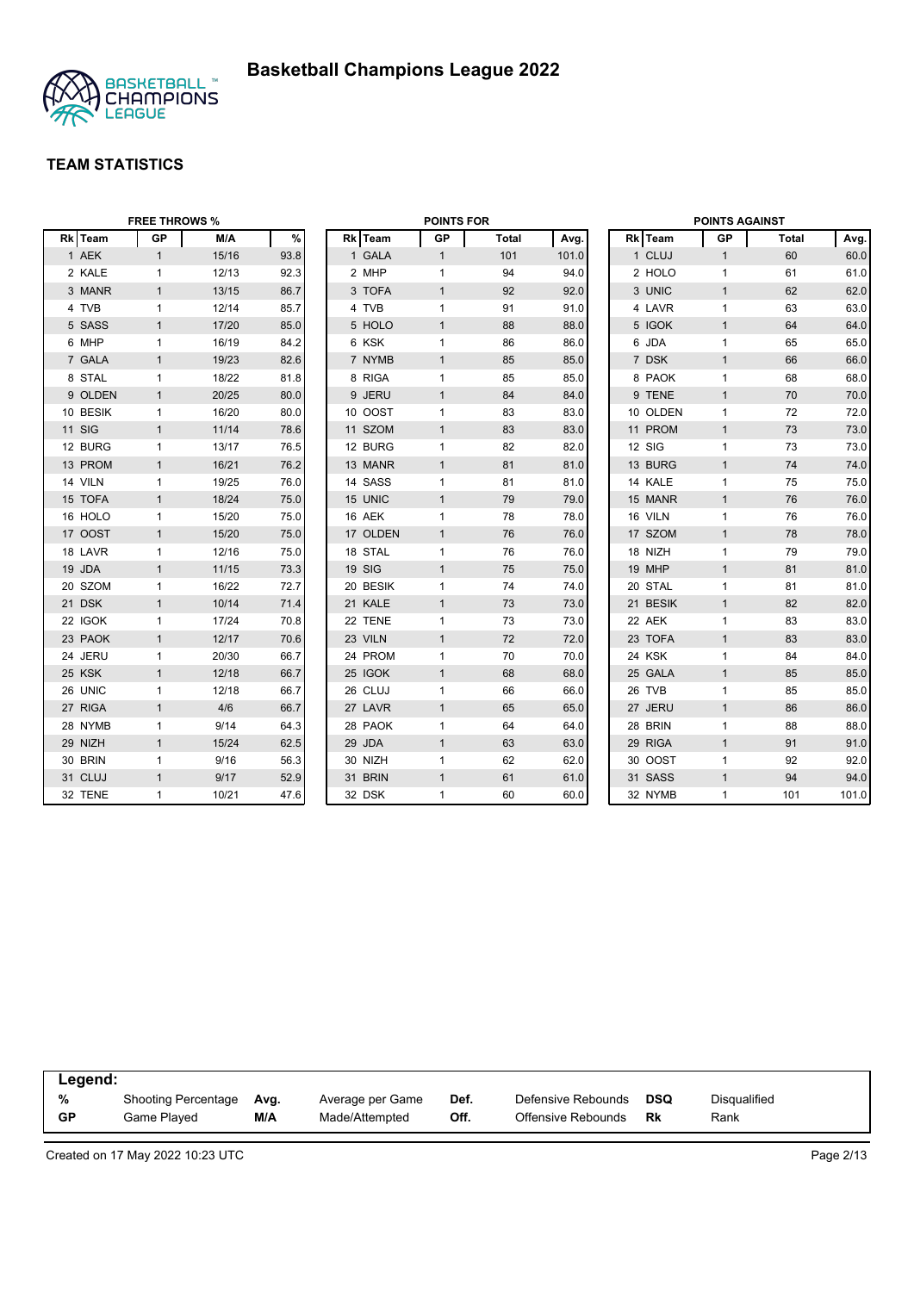

|               | <b>FREE THROWS %</b> |       |      |          | <b>POINTS FOR</b> |       |       |          | <b>POINTS AGAINST</b> |       |       |
|---------------|----------------------|-------|------|----------|-------------------|-------|-------|----------|-----------------------|-------|-------|
| Rk Team       | <b>GP</b>            | M/A   | $\%$ | Rk Team  | <b>GP</b>         | Total | Avg.  | Rk Team  | GP                    | Total | Avg.  |
| 1 AEK         | $\mathbf{1}$         | 15/16 | 93.8 | 1 GALA   | $\mathbf{1}$      | 101   | 101.0 | 1 CLUJ   | $\mathbf{1}$          | 60    | 60.0  |
| 2 KALE        | $\mathbf{1}$         | 12/13 | 92.3 | 2 MHP    | 1                 | 94    | 94.0  | 2 HOLO   | $\mathbf{1}$          | 61    | 61.0  |
| 3 MANR        | $\mathbf{1}$         | 13/15 | 86.7 | 3 TOFA   | $\mathbf{1}$      | 92    | 92.0  | 3 UNIC   | $\mathbf{1}$          | 62    | 62.0  |
| 4 TVB         | $\mathbf{1}$         | 12/14 | 85.7 | 4 TVB    | $\mathbf{1}$      | 91    | 91.0  | 4 LAVR   | $\mathbf{1}$          | 63    | 63.0  |
| 5 SASS        | $\mathbf{1}$         | 17/20 | 85.0 | 5 HOLO   | $\mathbf{1}$      | 88    | 88.0  | 5 IGOK   | $\mathbf{1}$          | 64    | 64.0  |
| 6 MHP         | $\mathbf{1}$         | 16/19 | 84.2 | 6 KSK    | $\mathbf{1}$      | 86    | 86.0  | 6 JDA    | $\mathbf{1}$          | 65    | 65.0  |
| 7 GALA        | $\mathbf{1}$         | 19/23 | 82.6 | 7 NYMB   | $\mathbf{1}$      | 85    | 85.0  | 7 DSK    | $\mathbf{1}$          | 66    | 66.0  |
| 8 STAL        | $\mathbf{1}$         | 18/22 | 81.8 | 8 RIGA   | 1                 | 85    | 85.0  | 8 PAOK   | $\mathbf{1}$          | 68    | 68.0  |
| 9 OLDEN       | $\mathbf{1}$         | 20/25 | 80.0 | 9 JERU   | $\mathbf{1}$      | 84    | 84.0  | 9 TENE   | $\mathbf{1}$          | 70    | 70.0  |
| 10 BESIK      | $\mathbf{1}$         | 16/20 | 80.0 | 10 OOST  | 1                 | 83    | 83.0  | 10 OLDEN | $\mathbf{1}$          | 72    | 72.0  |
| <b>11 SIG</b> | $\mathbf{1}$         | 11/14 | 78.6 | 11 SZOM  | $\mathbf{1}$      | 83    | 83.0  | 11 PROM  | $\mathbf{1}$          | 73    | 73.0  |
| 12 BURG       | 1                    | 13/17 | 76.5 | 12 BURG  | 1                 | 82    | 82.0  | 12 SIG   | $\mathbf{1}$          | 73    | 73.0  |
| 13 PROM       | $\mathbf{1}$         | 16/21 | 76.2 | 13 MANR  | $\mathbf{1}$      | 81    | 81.0  | 13 BURG  | $\mathbf{1}$          | 74    | 74.0  |
| 14 VILN       | $\mathbf{1}$         | 19/25 | 76.0 | 14 SASS  | $\mathbf{1}$      | 81    | 81.0  | 14 KALE  | $\mathbf{1}$          | 75    | 75.0  |
| 15 TOFA       | $\mathbf{1}$         | 18/24 | 75.0 | 15 UNIC  | $\mathbf{1}$      | 79    | 79.0  | 15 MANR  | $\mathbf{1}$          | 76    | 76.0  |
| 16 HOLO       | 1                    | 15/20 | 75.0 | 16 AEK   | $\mathbf{1}$      | 78    | 78.0  | 16 VILN  | $\mathbf{1}$          | 76    | 76.0  |
| 17 OOST       | $\mathbf{1}$         | 15/20 | 75.0 | 17 OLDEN | $\mathbf{1}$      | 76    | 76.0  | 17 SZOM  | $\mathbf{1}$          | 78    | 78.0  |
| 18 LAVR       | $\mathbf{1}$         | 12/16 | 75.0 | 18 STAL  | $\mathbf{1}$      | 76    | 76.0  | 18 NIZH  | $\mathbf{1}$          | 79    | 79.0  |
| 19 JDA        | $\mathbf{1}$         | 11/15 | 73.3 | 19 SIG   | $\mathbf{1}$      | 75    | 75.0  | 19 MHP   | $\mathbf{1}$          | 81    | 81.0  |
| 20 SZOM       | 1                    | 16/22 | 72.7 | 20 BESIK | 1                 | 74    | 74.0  | 20 STAL  | $\mathbf{1}$          | 81    | 81.0  |
| 21 DSK        | $\mathbf{1}$         | 10/14 | 71.4 | 21 KALE  | $\mathbf{1}$      | 73    | 73.0  | 21 BESIK | $\mathbf{1}$          | 82    | 82.0  |
| 22 IGOK       | 1                    | 17/24 | 70.8 | 22 TENE  | 1                 | 73    | 73.0  | 22 AEK   | $\mathbf{1}$          | 83    | 83.0  |
| 23 PAOK       | $\mathbf{1}$         | 12/17 | 70.6 | 23 VILN  | $\mathbf{1}$      | 72    | 72.0  | 23 TOFA  | $\mathbf{1}$          | 83    | 83.0  |
| 24 JERU       | $\mathbf{1}$         | 20/30 | 66.7 | 24 PROM  | $\mathbf{1}$      | 70    | 70.0  | 24 KSK   | $\mathbf{1}$          | 84    | 84.0  |
| 25 KSK        | $\mathbf{1}$         | 12/18 | 66.7 | 25 IGOK  | $\mathbf{1}$      | 68    | 68.0  | 25 GALA  | $\mathbf{1}$          | 85    | 85.0  |
| 26 UNIC       | 1                    | 12/18 | 66.7 | 26 CLUJ  | $\mathbf{1}$      | 66    | 66.0  | 26 TVB   | $\mathbf{1}$          | 85    | 85.0  |
| 27 RIGA       | $\mathbf{1}$         | 4/6   | 66.7 | 27 LAVR  | $\mathbf{1}$      | 65    | 65.0  | 27 JERU  | $\mathbf{1}$          | 86    | 86.0  |
| 28 NYMB       | $\mathbf{1}$         | 9/14  | 64.3 | 28 PAOK  | $\mathbf{1}$      | 64    | 64.0  | 28 BRIN  | $\mathbf{1}$          | 88    | 88.0  |
| 29 NIZH       | $\mathbf{1}$         | 15/24 | 62.5 | 29 JDA   | $\mathbf{1}$      | 63    | 63.0  | 29 RIGA  | $\mathbf{1}$          | 91    | 91.0  |
| 30 BRIN       | $\mathbf{1}$         | 9/16  | 56.3 | 30 NIZH  | $\mathbf{1}$      | 62    | 62.0  | 30 OOST  | $\mathbf{1}$          | 92    | 92.0  |
| 31 CLUJ       | $\mathbf{1}$         | 9/17  | 52.9 | 31 BRIN  | $\mathbf{1}$      | 61    | 61.0  | 31 SASS  | $\mathbf{1}$          | 94    | 94.0  |
| 32 TENE       | 1                    | 10/21 | 47.6 | 32 DSK   | 1                 | 60    | 60.0  | 32 NYMB  | $\mathbf{1}$          | 101   | 101.0 |

| Legend: |                     |      |                  |      |                    |     |              |
|---------|---------------------|------|------------------|------|--------------------|-----|--------------|
| %       | Shooting Percentage | Ava. | Average per Game | Def. | Defensive Rebounds | DSQ | Disqualified |
| GP      | Game Plaved         | M/A  | Made/Attempted   | Off. | Offensive Rebounds | Rk  | Rank         |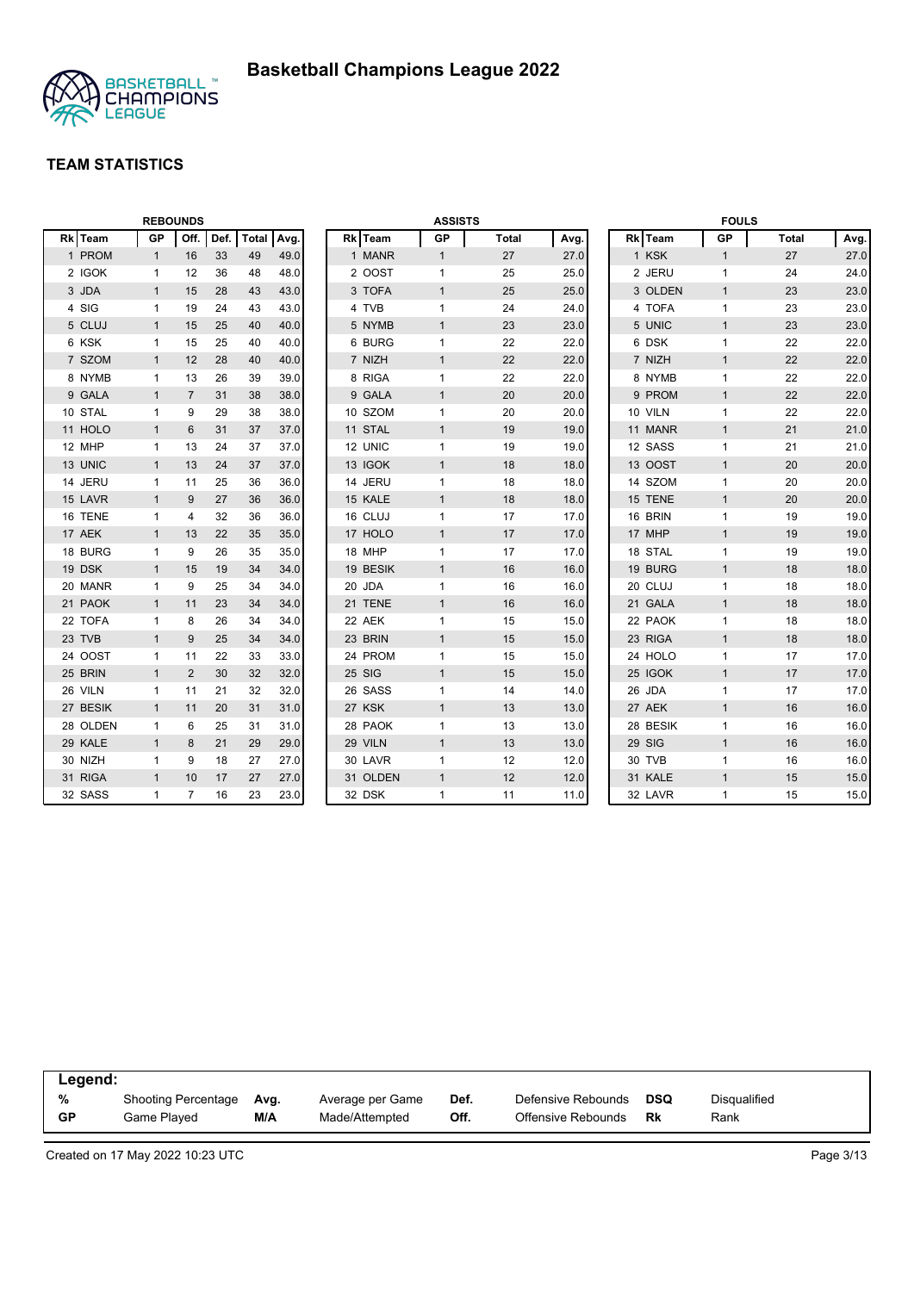

|          | <b>REBOUNDS</b> |                |      |            |      |          | <b>ASSISTS</b> |              |      |          | <b>FOULS</b> |              |      |
|----------|-----------------|----------------|------|------------|------|----------|----------------|--------------|------|----------|--------------|--------------|------|
| Rk Team  | GP              | Off.           | Def. | Total Avg. |      | Rk Team  | GP             | <b>Total</b> | Avg. | Rk Team  | <b>GP</b>    | <b>Total</b> | Avg. |
| 1 PROM   | $\mathbf{1}$    | 16             | 33   | 49         | 49.0 | 1 MANR   | $\mathbf{1}$   | 27           | 27.0 | 1 KSK    | $\mathbf{1}$ | 27           | 27.0 |
| 2 IGOK   | $\mathbf{1}$    | 12             | 36   | 48         | 48.0 | 2 OOST   | 1              | 25           | 25.0 | 2 JERU   | $\mathbf{1}$ | 24           | 24.0 |
| 3 JDA    | $\mathbf{1}$    | 15             | 28   | 43         | 43.0 | 3 TOFA   | $\mathbf{1}$   | 25           | 25.0 | 3 OLDEN  | $\mathbf{1}$ | 23           | 23.0 |
| 4 SIG    | $\mathbf{1}$    | 19             | 24   | 43         | 43.0 | 4 TVB    | 1              | 24           | 24.0 | 4 TOFA   | $\mathbf{1}$ | 23           | 23.0 |
| 5 CLUJ   | $\mathbf{1}$    | 15             | 25   | 40         | 40.0 | 5 NYMB   | $\mathbf{1}$   | 23           | 23.0 | 5 UNIC   | $\mathbf{1}$ | 23           | 23.0 |
| 6 KSK    | $\mathbf{1}$    | 15             | 25   | 40         | 40.0 | 6 BURG   | 1              | 22           | 22.0 | 6 DSK    | $\mathbf{1}$ | 22           | 22.0 |
| 7 SZOM   | $\mathbf{1}$    | 12             | 28   | 40         | 40.0 | 7 NIZH   | $\mathbf{1}$   | 22           | 22.0 | 7 NIZH   | $\mathbf{1}$ | 22           | 22.0 |
| 8 NYMB   | 1               | 13             | 26   | 39         | 39.0 | 8 RIGA   | 1              | 22           | 22.0 | 8 NYMB   | $\mathbf{1}$ | 22           | 22.0 |
| 9 GALA   | $\mathbf{1}$    | $\overline{7}$ | 31   | 38         | 38.0 | 9 GALA   | $\mathbf{1}$   | 20           | 20.0 | 9 PROM   | $\mathbf{1}$ | 22           | 22.0 |
| 10 STAL  | 1               | 9              | 29   | 38         | 38.0 | 10 SZOM  | 1              | 20           | 20.0 | 10 VILN  | $\mathbf{1}$ | 22           | 22.0 |
| 11 HOLO  | $\mathbf{1}$    | 6              | 31   | 37         | 37.0 | 11 STAL  | $\mathbf{1}$   | 19           | 19.0 | 11 MANR  | $\mathbf{1}$ | 21           | 21.0 |
| 12 MHP   | $\mathbf{1}$    | 13             | 24   | 37         | 37.0 | 12 UNIC  | 1              | 19           | 19.0 | 12 SASS  | $\mathbf{1}$ | 21           | 21.0 |
| 13 UNIC  | $\mathbf{1}$    | 13             | 24   | 37         | 37.0 | 13 IGOK  | $\mathbf{1}$   | 18           | 18.0 | 13 OOST  | $\mathbf{1}$ | 20           | 20.0 |
| 14 JERU  | $\mathbf{1}$    | 11             | 25   | 36         | 36.0 | 14 JERU  | $\mathbf{1}$   | 18           | 18.0 | 14 SZOM  | $\mathbf{1}$ | 20           | 20.0 |
| 15 LAVR  | $\mathbf{1}$    | 9              | 27   | 36         | 36.0 | 15 KALE  | $\mathbf{1}$   | 18           | 18.0 | 15 TENE  | $\mathbf{1}$ | 20           | 20.0 |
| 16 TENE  | $\mathbf{1}$    | $\overline{4}$ | 32   | 36         | 36.0 | 16 CLUJ  | $\mathbf{1}$   | 17           | 17.0 | 16 BRIN  | $\mathbf{1}$ | 19           | 19.0 |
| 17 AEK   | $\mathbf{1}$    | 13             | 22   | 35         | 35.0 | 17 HOLO  | $\mathbf{1}$   | 17           | 17.0 | 17 MHP   | $\mathbf{1}$ | 19           | 19.0 |
| 18 BURG  | $\mathbf{1}$    | 9              | 26   | 35         | 35.0 | 18 MHP   | 1              | 17           | 17.0 | 18 STAL  | $\mathbf{1}$ | 19           | 19.0 |
| 19 DSK   | $\mathbf{1}$    | 15             | 19   | 34         | 34.0 | 19 BESIK | $\mathbf{1}$   | 16           | 16.0 | 19 BURG  | $\mathbf{1}$ | 18           | 18.0 |
| 20 MANR  | 1               | 9              | 25   | 34         | 34.0 | 20 JDA   | 1              | 16           | 16.0 | 20 CLUJ  | $\mathbf{1}$ | 18           | 18.0 |
| 21 PAOK  | $\mathbf{1}$    | 11             | 23   | 34         | 34.0 | 21 TENE  | $\mathbf{1}$   | 16           | 16.0 | 21 GALA  | $\mathbf{1}$ | 18           | 18.0 |
| 22 TOFA  | 1               | 8              | 26   | 34         | 34.0 | 22 AEK   | 1              | 15           | 15.0 | 22 PAOK  | $\mathbf{1}$ | 18           | 18.0 |
| 23 TVB   | $\mathbf{1}$    | 9              | 25   | 34         | 34.0 | 23 BRIN  | $\mathbf{1}$   | 15           | 15.0 | 23 RIGA  | $\mathbf{1}$ | 18           | 18.0 |
| 24 OOST  | $\mathbf{1}$    | 11             | 22   | 33         | 33.0 | 24 PROM  | $\mathbf{1}$   | 15           | 15.0 | 24 HOLO  | $\mathbf{1}$ | 17           | 17.0 |
| 25 BRIN  | $\mathbf{1}$    | 2              | 30   | 32         | 32.0 | 25 SIG   | $\mathbf{1}$   | 15           | 15.0 | 25 IGOK  | $\mathbf{1}$ | 17           | 17.0 |
| 26 VILN  | $\mathbf{1}$    | 11             | 21   | 32         | 32.0 | 26 SASS  | $\mathbf{1}$   | 14           | 14.0 | 26 JDA   | $\mathbf{1}$ | 17           | 17.0 |
| 27 BESIK | $\mathbf{1}$    | 11             | 20   | 31         | 31.0 | 27 KSK   | $\mathbf{1}$   | 13           | 13.0 | 27 AEK   | $\mathbf{1}$ | 16           | 16.0 |
| 28 OLDEN | $\mathbf{1}$    | 6              | 25   | 31         | 31.0 | 28 PAOK  | 1              | 13           | 13.0 | 28 BESIK | $\mathbf{1}$ | 16           | 16.0 |
| 29 KALE  | $\mathbf{1}$    | 8              | 21   | 29         | 29.0 | 29 VILN  | $\mathbf{1}$   | 13           | 13.0 | 29 SIG   | $\mathbf{1}$ | 16           | 16.0 |
| 30 NIZH  | 1               | 9              | 18   | 27         | 27.0 | 30 LAVR  | 1              | 12           | 12.0 | 30 TVB   | $\mathbf{1}$ | 16           | 16.0 |
| 31 RIGA  | $\mathbf{1}$    | 10             | 17   | 27         | 27.0 | 31 OLDEN | $\mathbf{1}$   | 12           | 12.0 | 31 KALE  | $\mathbf{1}$ | 15           | 15.0 |
| 32 SASS  | $\mathbf{1}$    | $\overline{7}$ | 16   | 23         | 23.0 | 32 DSK   | 1              | 11           | 11.0 | 32 LAVR  | $\mathbf{1}$ | 15           | 15.0 |

| Legend:   |                     |      |                  |      |                    |     |              |  |
|-----------|---------------------|------|------------------|------|--------------------|-----|--------------|--|
| %         | Shooting Percentage | Avg. | Average per Game | Def. | Defensive Rebounds | DSQ | Disqualified |  |
| <b>GP</b> | Game Plaved         | M/A  | Made/Attempted   | Off. | Offensive Rebounds | Rk  | Rank         |  |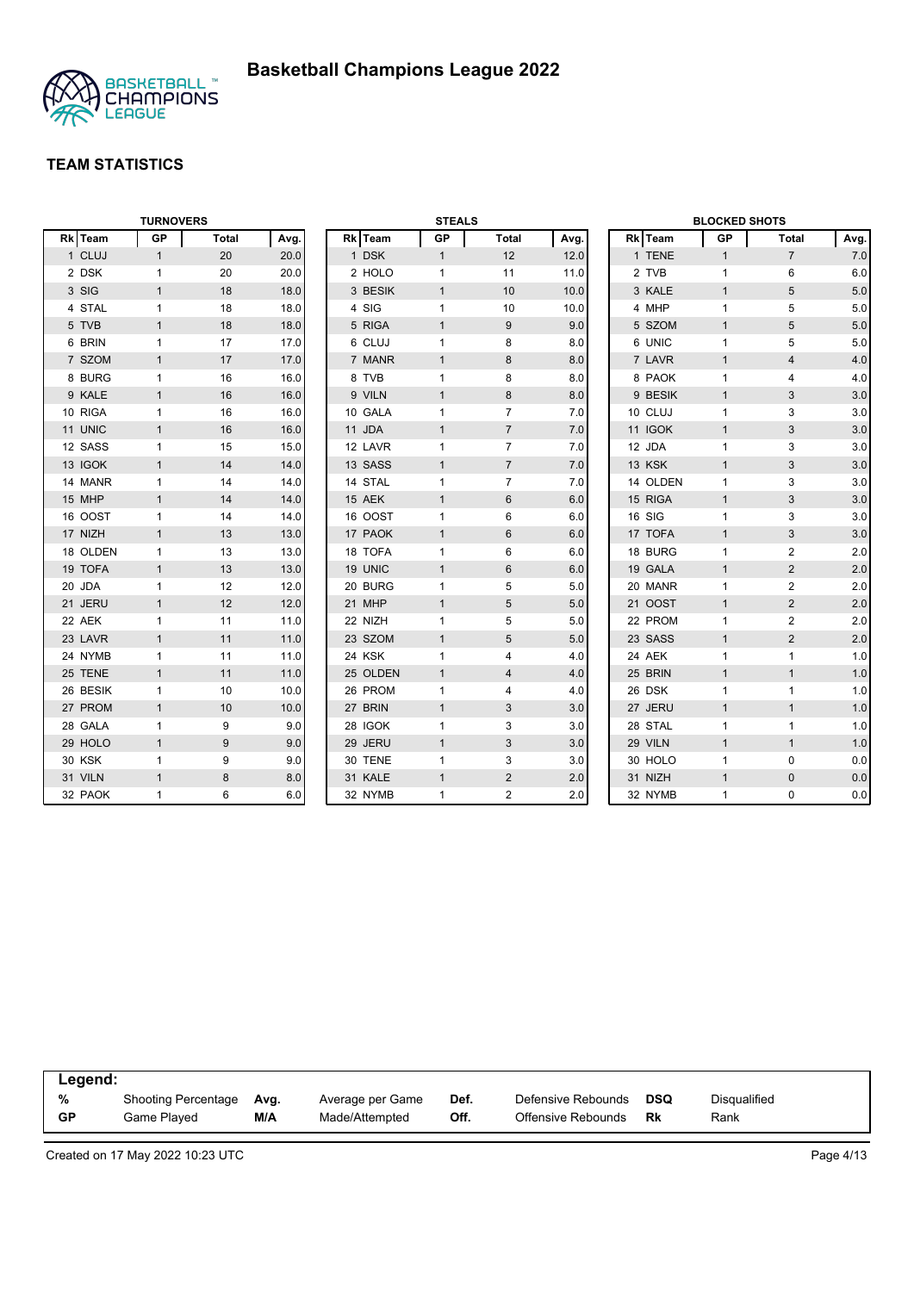

|                   | <b>TURNOVERS</b> |              |      |          | <b>STEALS</b> |                 |      |        |          | <b>BLOCKED SHOTS</b> |                |       |
|-------------------|------------------|--------------|------|----------|---------------|-----------------|------|--------|----------|----------------------|----------------|-------|
| <b>Team</b><br>Rk | GP               | <b>Total</b> | Avg. | Rk Team  | GP            | <b>Total</b>    | Avg. |        | Rk Team  | GP                   | Total          | Avg.  |
| 1 CLUJ            | $\mathbf{1}$     | 20           | 20.0 | 1 DSK    | $\mathbf{1}$  | 12              | 12.0 |        | 1 TENE   | $\mathbf{1}$         | $\overline{7}$ | 7.0   |
| 2 DSK             | $\mathbf{1}$     | 20           | 20.0 | 2 HOLO   | $\mathbf{1}$  | 11              | 11.0 |        | 2 TVB    | $\mathbf{1}$         | 6              | 6.0   |
| 3 SIG             | $\mathbf{1}$     | 18           | 18.0 | 3 BESIK  | $\mathbf{1}$  | 10              | 10.0 |        | 3 KALE   | $\mathbf{1}$         | 5              | 5.0   |
| 4 STAL            | $\mathbf{1}$     | 18           | 18.0 | 4 SIG    | $\mathbf{1}$  | 10              | 10.0 |        | 4 MHP    | $\mathbf{1}$         | 5              | 5.0   |
| 5 TVB             | $\mathbf{1}$     | 18           | 18.0 | 5 RIGA   | $\mathbf{1}$  | 9               | 9.0  |        | 5 SZOM   | $\mathbf{1}$         | $\sqrt{5}$     | $5.0$ |
| 6 BRIN            | $\mathbf{1}$     | 17           | 17.0 | 6 CLUJ   | $\mathbf{1}$  | 8               | 8.0  |        | 6 UNIC   | $\mathbf{1}$         | 5              | 5.0   |
| 7 SZOM            | $\mathbf{1}$     | 17           | 17.0 | 7 MANR   | $\mathbf{1}$  | $\bf 8$         | 8.0  |        | 7 LAVR   | $\mathbf{1}$         | $\overline{4}$ | 4.0   |
| 8 BURG            | $\mathbf{1}$     | 16           | 16.0 | 8 TVB    | $\mathbf{1}$  | 8               | 8.0  |        | 8 PAOK   | $\mathbf{1}$         | 4              | 4.0   |
| 9 KALE            | $\mathbf{1}$     | 16           | 16.0 | 9 VILN   | $\mathbf{1}$  | 8               | 8.0  |        | 9 BESIK  | $\mathbf{1}$         | 3              | 3.0   |
| 10 RIGA           | $\mathbf{1}$     | 16           | 16.0 | 10 GALA  | $\mathbf{1}$  | $\overline{7}$  | 7.0  |        | 10 CLUJ  | $\mathbf{1}$         | 3              | 3.0   |
| 11 UNIC           | $\mathbf{1}$     | 16           | 16.0 | 11 JDA   | $\mathbf{1}$  | $\overline{7}$  | 7.0  |        | 11 IGOK  | $\mathbf{1}$         | 3              | 3.0   |
| 12 SASS           | $\mathbf{1}$     | 15           | 15.0 | 12 LAVR  | $\mathbf{1}$  | $\overline{7}$  | 7.0  | 12 JDA |          | $\mathbf{1}$         | 3              | 3.0   |
| 13 IGOK           | $\mathbf{1}$     | 14           | 14.0 | 13 SASS  | $\mathbf{1}$  | $\overline{7}$  | 7.0  | 13 KSK |          | $\mathbf{1}$         | 3              | 3.0   |
| 14 MANR           | $\mathbf{1}$     | 14           | 14.0 | 14 STAL  | $\mathbf{1}$  | $\overline{7}$  | 7.0  |        | 14 OLDEN | $\mathbf{1}$         | 3              | 3.0   |
| 15 MHP            | $\mathbf{1}$     | 14           | 14.0 | 15 AEK   | $\mathbf{1}$  | 6               | 6.0  |        | 15 RIGA  | $\mathbf{1}$         | 3              | 3.0   |
| 16 OOST           | $\mathbf{1}$     | 14           | 14.0 | 16 OOST  | $\mathbf{1}$  | 6               | 6.0  | 16 SIG |          | $\mathbf{1}$         | 3              | 3.0   |
| 17 NIZH           | $\mathbf{1}$     | 13           | 13.0 | 17 PAOK  | $\mathbf{1}$  | $6\phantom{1}6$ | 6.0  |        | 17 TOFA  | $\mathbf{1}$         | $\mathbf{3}$   | 3.0   |
| 18 OLDEN          | $\mathbf{1}$     | 13           | 13.0 | 18 TOFA  | $\mathbf{1}$  | 6               | 6.0  |        | 18 BURG  | $\mathbf{1}$         | $\overline{2}$ | 2.0   |
| 19 TOFA           | $\mathbf{1}$     | 13           | 13.0 | 19 UNIC  | $\mathbf{1}$  | $6\phantom{1}$  | 6.0  |        | 19 GALA  | $\mathbf{1}$         | $\overline{2}$ | 2.0   |
| 20 JDA            | $\mathbf{1}$     | 12           | 12.0 | 20 BURG  | 1             | 5               | 5.0  |        | 20 MANR  | $\mathbf{1}$         | $\overline{2}$ | 2.0   |
| 21 JERU           | $\mathbf{1}$     | 12           | 12.0 | 21 MHP   | $\mathbf{1}$  | $\overline{5}$  | 5.0  |        | 21 OOST  | $\mathbf{1}$         | 2              | 2.0   |
| 22 AEK            | $\mathbf{1}$     | 11           | 11.0 | 22 NIZH  | $\mathbf{1}$  | 5               | 5.0  |        | 22 PROM  | $\mathbf{1}$         | $\overline{2}$ | 2.0   |
| 23 LAVR           | $\mathbf{1}$     | 11           | 11.0 | 23 SZOM  | $\mathbf{1}$  | $\sqrt{5}$      | 5.0  |        | 23 SASS  | $\mathbf{1}$         | $\overline{2}$ | 2.0   |
| 24 NYMB           | $\mathbf{1}$     | 11           | 11.0 | 24 KSK   | $\mathbf{1}$  | 4               | 4.0  | 24 AEK |          | $\mathbf{1}$         | $\mathbf{1}$   | 1.0   |
| 25 TENE           | $\mathbf{1}$     | 11           | 11.0 | 25 OLDEN | $\mathbf{1}$  | $\overline{4}$  | 4.0  |        | 25 BRIN  | $\mathbf{1}$         | $\mathbf{1}$   | 1.0   |
| 26 BESIK          | $\mathbf{1}$     | 10           | 10.0 | 26 PROM  | $\mathbf{1}$  | 4               | 4.0  |        | 26 DSK   | $\mathbf{1}$         | $\mathbf{1}$   | 1.0   |
| 27 PROM           | $\mathbf{1}$     | 10           | 10.0 | 27 BRIN  | $\mathbf{1}$  | 3               | 3.0  |        | 27 JERU  | $\mathbf{1}$         | $\mathbf{1}$   | 1.0   |
| 28 GALA           | $\mathbf{1}$     | 9            | 9.0  | 28 IGOK  | 1             | 3               | 3.0  |        | 28 STAL  | $\mathbf{1}$         | $\mathbf{1}$   | 1.0   |
| 29 HOLO           | $\mathbf{1}$     | 9            | 9.0  | 29 JERU  | $\mathbf{1}$  | 3               | 3.0  |        | 29 VILN  | $\mathbf{1}$         | $\mathbf{1}$   | 1.0   |
| <b>30 KSK</b>     | $\mathbf{1}$     | 9            | 9.0  | 30 TENE  | $\mathbf{1}$  | 3               | 3.0  |        | 30 HOLO  | $\mathbf{1}$         | $\mathbf 0$    | 0.0   |
| 31 VILN           | $\mathbf{1}$     | 8            | 8.0  | 31 KALE  | $\mathbf{1}$  | 2               | 2.0  |        | 31 NIZH  | $\mathbf{1}$         | $\mathbf{0}$   | 0.0   |
| 32 PAOK           | $\mathbf{1}$     | 6            | 6.0  | 32 NYMB  | $\mathbf{1}$  | $\overline{2}$  | 2.0  |        | 32 NYMB  | $\mathbf{1}$         | $\mathbf 0$    | 0.0   |

| Legend:   |                     |      |                  |      |                    |            |              |  |
|-----------|---------------------|------|------------------|------|--------------------|------------|--------------|--|
| %         | Shooting Percentage | Avg. | Average per Game | Def. | Defensive Rebounds | <b>DSQ</b> | Disqualified |  |
| <b>GP</b> | Game Played         | M/A  | Made/Attempted   | Off. | Offensive Rebounds | Rk         | Rank         |  |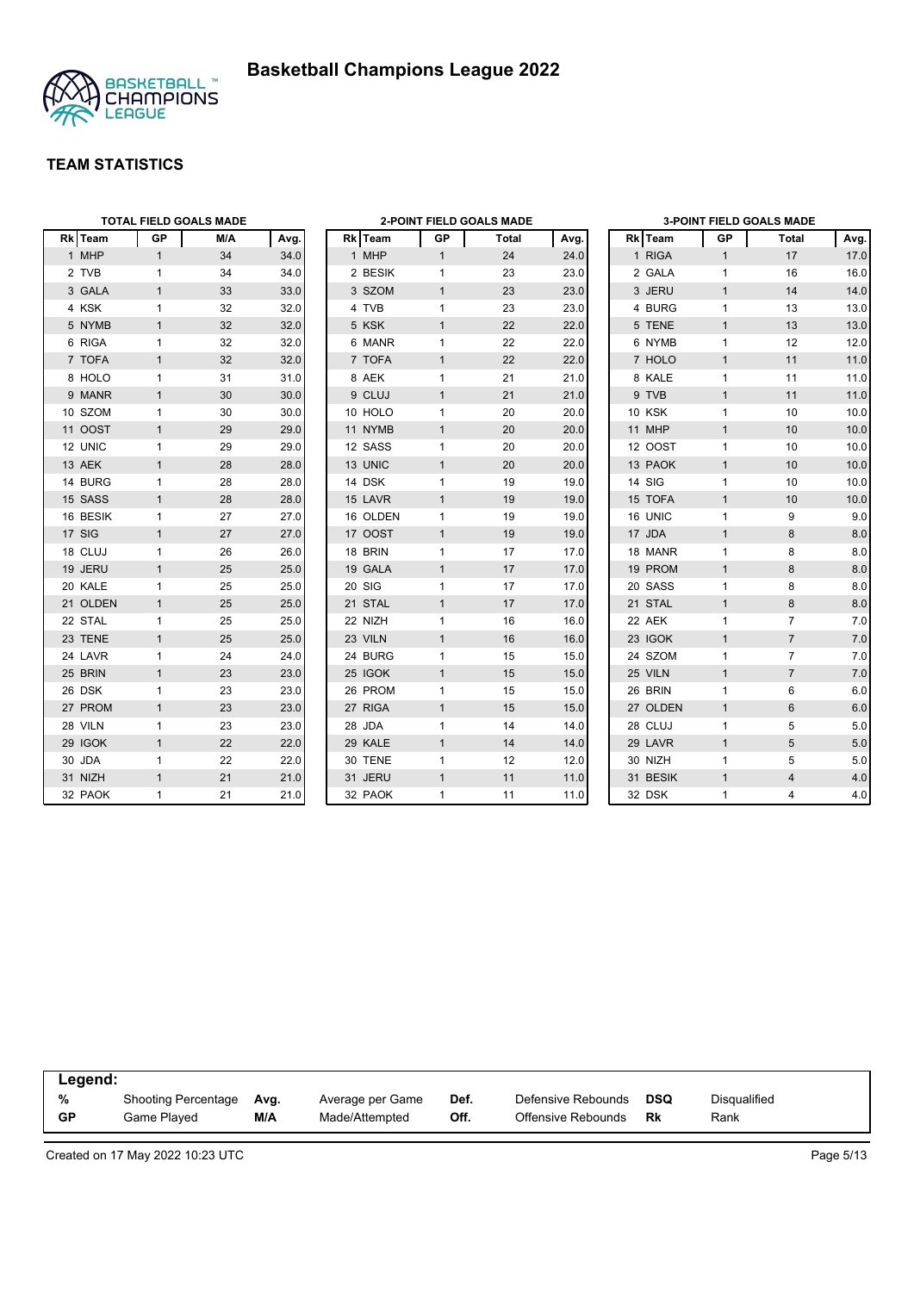



|          |              | <b>TOTAL FIELD GOALS MADE</b> |      |          |              | 2-POINT FIELD GOALS MADE |      |          |              | <b>3-POINT FIELD GOALS MADE</b> |      |
|----------|--------------|-------------------------------|------|----------|--------------|--------------------------|------|----------|--------------|---------------------------------|------|
| Rk Team  | GP           | M/A                           | Avg. | Rk Team  | GP           | Total                    | Avg. | Rk Team  | GP           | <b>Total</b>                    | Avg. |
| 1 MHP    | $\mathbf{1}$ | 34                            | 34.0 | 1 MHP    | $\mathbf{1}$ | 24                       | 24.0 | 1 RIGA   | $\mathbf{1}$ | 17                              | 17.0 |
| 2 TVB    | $\mathbf{1}$ | 34                            | 34.0 | 2 BESIK  | $\mathbf{1}$ | 23                       | 23.0 | 2 GALA   | $\mathbf{1}$ | 16                              | 16.0 |
| 3 GALA   | $\mathbf{1}$ | 33                            | 33.0 | 3 SZOM   | $\mathbf{1}$ | 23                       | 23.0 | 3 JERU   | $\mathbf{1}$ | 14                              | 14.0 |
| 4 KSK    | $\mathbf{1}$ | 32                            | 32.0 | 4 TVB    | 1            | 23                       | 23.0 | 4 BURG   | $\mathbf{1}$ | 13                              | 13.0 |
| 5 NYMB   | $\mathbf{1}$ | 32                            | 32.0 | 5 KSK    | $\mathbf{1}$ | 22                       | 22.0 | 5 TENE   | $\mathbf{1}$ | 13                              | 13.0 |
| 6 RIGA   | $\mathbf{1}$ | 32                            | 32.0 | 6 MANR   | $\mathbf{1}$ | 22                       | 22.0 | 6 NYMB   | $\mathbf{1}$ | 12                              | 12.0 |
| 7 TOFA   | $\mathbf{1}$ | 32                            | 32.0 | 7 TOFA   | $\mathbf{1}$ | 22                       | 22.0 | 7 HOLO   | $\mathbf{1}$ | 11                              | 11.0 |
| 8 HOLO   | $\mathbf{1}$ | 31                            | 31.0 | 8 AEK    | $\mathbf{1}$ | 21                       | 21.0 | 8 KALE   | $\mathbf{1}$ | 11                              | 11.0 |
| 9 MANR   | $\mathbf{1}$ | 30                            | 30.0 | 9 CLUJ   | $\mathbf{1}$ | 21                       | 21.0 | 9 TVB    | $\mathbf{1}$ | 11                              | 11.0 |
| 10 SZOM  | $\mathbf{1}$ | 30                            | 30.0 | 10 HOLO  | $\mathbf{1}$ | 20                       | 20.0 | 10 KSK   | $\mathbf{1}$ | 10                              | 10.0 |
| 11 OOST  | $\mathbf{1}$ | 29                            | 29.0 | 11 NYMB  | $\mathbf{1}$ | 20                       | 20.0 | 11 MHP   | $\mathbf{1}$ | 10                              | 10.0 |
| 12 UNIC  | $\mathbf{1}$ | 29                            | 29.0 | 12 SASS  | $\mathbf{1}$ | 20                       | 20.0 | 12 OOST  | $\mathbf{1}$ | 10                              | 10.0 |
| 13 AEK   | $\mathbf{1}$ | 28                            | 28.0 | 13 UNIC  | $\mathbf{1}$ | 20                       | 20.0 | 13 PAOK  | $\mathbf{1}$ | 10                              | 10.0 |
| 14 BURG  | $\mathbf{1}$ | 28                            | 28.0 | 14 DSK   | $\mathbf{1}$ | 19                       | 19.0 | 14 SIG   | $\mathbf{1}$ | 10                              | 10.0 |
| 15 SASS  | $\mathbf{1}$ | 28                            | 28.0 | 15 LAVR  | $\mathbf{1}$ | 19                       | 19.0 | 15 TOFA  | $\mathbf{1}$ | 10                              | 10.0 |
| 16 BESIK | $\mathbf{1}$ | 27                            | 27.0 | 16 OLDEN | 1            | 19                       | 19.0 | 16 UNIC  | $\mathbf{1}$ | 9                               | 9.0  |
| 17 SIG   | $\mathbf{1}$ | 27                            | 27.0 | 17 OOST  | $\mathbf{1}$ | 19                       | 19.0 | 17 JDA   | $\mathbf{1}$ | 8                               | 8.0  |
| 18 CLUJ  | $\mathbf{1}$ | 26                            | 26.0 | 18 BRIN  | $\mathbf{1}$ | 17                       | 17.0 | 18 MANR  | $\mathbf{1}$ | 8                               | 8.0  |
| 19 JERU  | $\mathbf{1}$ | 25                            | 25.0 | 19 GALA  | $\mathbf{1}$ | 17                       | 17.0 | 19 PROM  | $\mathbf{1}$ | 8                               | 8.0  |
| 20 KALE  | $\mathbf{1}$ | 25                            | 25.0 | 20 SIG   | $\mathbf{1}$ | 17                       | 17.0 | 20 SASS  | $\mathbf{1}$ | 8                               | 8.0  |
| 21 OLDEN | $\mathbf{1}$ | 25                            | 25.0 | 21 STAL  | $\mathbf{1}$ | 17                       | 17.0 | 21 STAL  | $\mathbf{1}$ | 8                               | 8.0  |
| 22 STAL  | $\mathbf{1}$ | 25                            | 25.0 | 22 NIZH  | $\mathbf{1}$ | 16                       | 16.0 | 22 AEK   | $\mathbf{1}$ | $\overline{7}$                  | 7.0  |
| 23 TENE  | $\mathbf{1}$ | 25                            | 25.0 | 23 VILN  | $\mathbf{1}$ | 16                       | 16.0 | 23 IGOK  | $\mathbf{1}$ | $\overline{7}$                  | 7.0  |
| 24 LAVR  | $\mathbf{1}$ | 24                            | 24.0 | 24 BURG  | $\mathbf{1}$ | 15                       | 15.0 | 24 SZOM  | $\mathbf{1}$ | $\overline{7}$                  | 7.0  |
| 25 BRIN  | $\mathbf{1}$ | 23                            | 23.0 | 25 IGOK  | $\mathbf{1}$ | 15                       | 15.0 | 25 VILN  | $\mathbf{1}$ | $\overline{7}$                  | 7.0  |
| 26 DSK   | $\mathbf{1}$ | 23                            | 23.0 | 26 PROM  | $\mathbf{1}$ | 15                       | 15.0 | 26 BRIN  | $\mathbf{1}$ | 6                               | 6.0  |
| 27 PROM  | $\mathbf{1}$ | 23                            | 23.0 | 27 RIGA  | $\mathbf{1}$ | 15                       | 15.0 | 27 OLDEN | $\mathbf{1}$ | 6                               | 6.0  |
| 28 VILN  | $\mathbf{1}$ | 23                            | 23.0 | 28 JDA   | $\mathbf{1}$ | 14                       | 14.0 | 28 CLUJ  | $\mathbf{1}$ | 5                               | 5.0  |
| 29 IGOK  | $\mathbf{1}$ | 22                            | 22.0 | 29 KALE  | $\mathbf{1}$ | 14                       | 14.0 | 29 LAVR  | $\mathbf{1}$ | 5                               | 5.0  |
| 30 JDA   | $\mathbf{1}$ | 22                            | 22.0 | 30 TENE  | 1            | 12                       | 12.0 | 30 NIZH  | $\mathbf{1}$ | 5                               | 5.0  |
| 31 NIZH  | $\mathbf{1}$ | 21                            | 21.0 | 31 JERU  | $\mathbf{1}$ | 11                       | 11.0 | 31 BESIK | $\mathbf{1}$ | $\overline{4}$                  | 4.0  |
| 32 PAOK  | $\mathbf{1}$ | 21                            | 21.0 | 32 PAOK  | 1            | 11                       | 11.0 | 32 DSK   | $\mathbf{1}$ | $\overline{4}$                  | 4.0  |

| Legend: |                            |      |                  |      |                    |     |              |  |
|---------|----------------------------|------|------------------|------|--------------------|-----|--------------|--|
| %       | <b>Shooting Percentage</b> | Ava. | Average per Game | Def. | Defensive Rebounds | DSQ | Disqualified |  |
| GP      | Game Played                | M/A  | Made/Attempted   | Off. | Offensive Rebounds | Rk  | Rank         |  |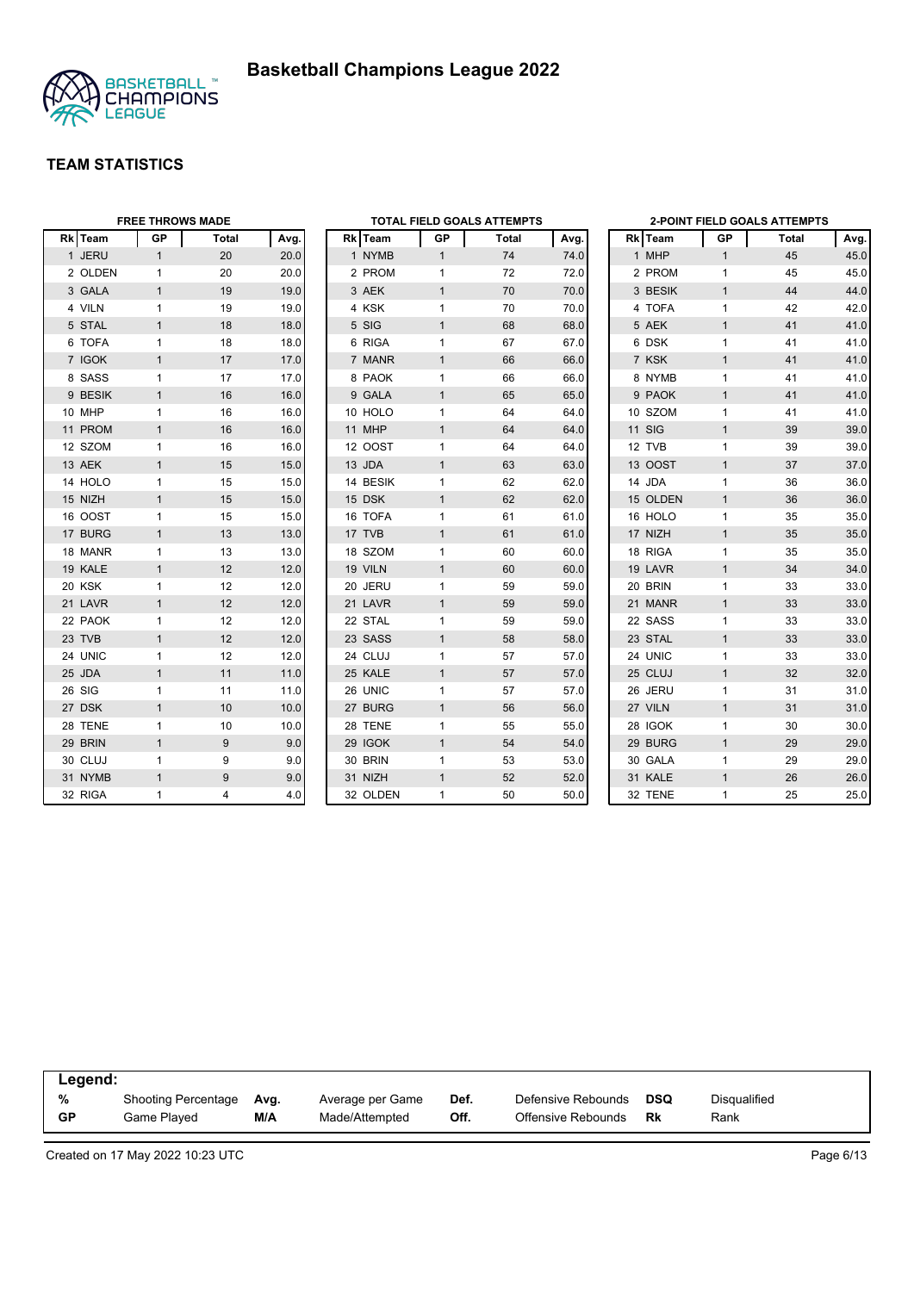



|         | <b>FREE THROWS MADE</b> |       |      |          |              | TOTAL FIELD GOALS ATTEMPTS |      |          |              | <b>2-POINT FIELD GOALS ATTEMPTS</b> |      |
|---------|-------------------------|-------|------|----------|--------------|----------------------------|------|----------|--------------|-------------------------------------|------|
| Rk Team | <b>GP</b>               | Total | Avg. | Rk Team  | GP           | Total                      | Avg. | Rk Team  | <b>GP</b>    | Total                               | Avg. |
| 1 JERU  | $\mathbf{1}$            | 20    | 20.0 | 1 NYMB   | 1            | 74                         | 74.0 | 1 MHP    | $\mathbf{1}$ | 45                                  | 45.0 |
| 2 OLDEN | 1                       | 20    | 20.0 | 2 PROM   | $\mathbf{1}$ | 72                         | 72.0 | 2 PROM   | $\mathbf{1}$ | 45                                  | 45.0 |
| 3 GALA  | $\mathbf{1}$            | 19    | 19.0 | 3 AEK    | $\mathbf{1}$ | 70                         | 70.0 | 3 BESIK  | $\mathbf{1}$ | 44                                  | 44.0 |
| 4 VILN  | $\mathbf{1}$            | 19    | 19.0 | 4 KSK    | $\mathbf{1}$ | 70                         | 70.0 | 4 TOFA   | $\mathbf{1}$ | 42                                  | 42.0 |
| 5 STAL  | $\mathbf{1}$            | 18    | 18.0 | 5 SIG    | $\mathbf{1}$ | 68                         | 68.0 | 5 AEK    | $\mathbf{1}$ | 41                                  | 41.0 |
| 6 TOFA  | 1                       | 18    | 18.0 | 6 RIGA   | 1            | 67                         | 67.0 | 6 DSK    | $\mathbf{1}$ | 41                                  | 41.0 |
| 7 IGOK  | $\mathbf{1}$            | 17    | 17.0 | 7 MANR   | $\mathbf{1}$ | 66                         | 66.0 | 7 KSK    | $\mathbf{1}$ | 41                                  | 41.0 |
| 8 SASS  | $\mathbf{1}$            | 17    | 17.0 | 8 PAOK   | $\mathbf{1}$ | 66                         | 66.0 | 8 NYMB   | $\mathbf{1}$ | 41                                  | 41.0 |
| 9 BESIK | $\mathbf{1}$            | 16    | 16.0 | 9 GALA   | $\mathbf{1}$ | 65                         | 65.0 | 9 PAOK   | $\mathbf{1}$ | 41                                  | 41.0 |
| 10 MHP  | 1                       | 16    | 16.0 | 10 HOLO  | 1            | 64                         | 64.0 | 10 SZOM  | $\mathbf{1}$ | 41                                  | 41.0 |
| 11 PROM | 1                       | 16    | 16.0 | 11 MHP   | $\mathbf{1}$ | 64                         | 64.0 | 11 SIG   | $\mathbf{1}$ | 39                                  | 39.0 |
| 12 SZOM | 1                       | 16    | 16.0 | 12 OOST  | $\mathbf{1}$ | 64                         | 64.0 | 12 TVB   | $\mathbf{1}$ | 39                                  | 39.0 |
| 13 AEK  | $\mathbf{1}$            | 15    | 15.0 | 13 JDA   | $\mathbf{1}$ | 63                         | 63.0 | 13 OOST  | $\mathbf{1}$ | 37                                  | 37.0 |
| 14 HOLO | 1                       | 15    | 15.0 | 14 BESIK | 1            | 62                         | 62.0 | 14 JDA   | $\mathbf{1}$ | 36                                  | 36.0 |
| 15 NIZH | $\mathbf{1}$            | 15    | 15.0 | 15 DSK   | $\mathbf{1}$ | 62                         | 62.0 | 15 OLDEN | $\mathbf{1}$ | 36                                  | 36.0 |
| 16 OOST | $\mathbf{1}$            | 15    | 15.0 | 16 TOFA  | $\mathbf{1}$ | 61                         | 61.0 | 16 HOLO  | $\mathbf{1}$ | 35                                  | 35.0 |
| 17 BURG | $\mathbf{1}$            | 13    | 13.0 | 17 TVB   | $\mathbf{1}$ | 61                         | 61.0 | 17 NIZH  | $\mathbf{1}$ | 35                                  | 35.0 |
| 18 MANR | 1                       | 13    | 13.0 | 18 SZOM  | $\mathbf{1}$ | 60                         | 60.0 | 18 RIGA  | $\mathbf{1}$ | 35                                  | 35.0 |
| 19 KALE | $\mathbf{1}$            | 12    | 12.0 | 19 VILN  | $\mathbf{1}$ | 60                         | 60.0 | 19 LAVR  | $\mathbf{1}$ | 34                                  | 34.0 |
| 20 KSK  | 1                       | 12    | 12.0 | 20 JERU  | $\mathbf{1}$ | 59                         | 59.0 | 20 BRIN  | $\mathbf{1}$ | 33                                  | 33.0 |
| 21 LAVR | $\mathbf{1}$            | 12    | 12.0 | 21 LAVR  | $\mathbf{1}$ | 59                         | 59.0 | 21 MANR  | $\mathbf{1}$ | 33                                  | 33.0 |
| 22 PAOK | 1                       | 12    | 12.0 | 22 STAL  | 1            | 59                         | 59.0 | 22 SASS  | $\mathbf{1}$ | 33                                  | 33.0 |
| 23 TVB  | 1                       | 12    | 12.0 | 23 SASS  | $\mathbf{1}$ | 58                         | 58.0 | 23 STAL  | $\mathbf{1}$ | 33                                  | 33.0 |
| 24 UNIC | 1                       | 12    | 12.0 | 24 CLUJ  | $\mathbf{1}$ | 57                         | 57.0 | 24 UNIC  | $\mathbf{1}$ | 33                                  | 33.0 |
| 25 JDA  | $\mathbf{1}$            | 11    | 11.0 | 25 KALE  | $\mathbf{1}$ | 57                         | 57.0 | 25 CLUJ  | $\mathbf{1}$ | 32                                  | 32.0 |
| 26 SIG  | $\mathbf{1}$            | 11    | 11.0 | 26 UNIC  | 1            | 57                         | 57.0 | 26 JERU  | $\mathbf{1}$ | 31                                  | 31.0 |
| 27 DSK  | $\mathbf{1}$            | 10    | 10.0 | 27 BURG  | $\mathbf{1}$ | 56                         | 56.0 | 27 VILN  | $\mathbf{1}$ | 31                                  | 31.0 |
| 28 TENE | 1                       | 10    | 10.0 | 28 TENE  | $\mathbf{1}$ | 55                         | 55.0 | 28 IGOK  | $\mathbf{1}$ | 30                                  | 30.0 |
| 29 BRIN | $\mathbf{1}$            | 9     | 9.0  | 29 IGOK  | $\mathbf{1}$ | 54                         | 54.0 | 29 BURG  | $\mathbf{1}$ | 29                                  | 29.0 |
| 30 CLUJ | 1                       | 9     | 9.0  | 30 BRIN  | $\mathbf{1}$ | 53                         | 53.0 | 30 GALA  | $\mathbf{1}$ | 29                                  | 29.0 |
| 31 NYMB | $\mathbf{1}$            | 9     | 9.0  | 31 NIZH  | $\mathbf{1}$ | 52                         | 52.0 | 31 KALE  | $\mathbf{1}$ | 26                                  | 26.0 |
| 32 RIGA | 1                       | 4     | 4.0  | 32 OLDEN | $\mathbf{1}$ | 50                         | 50.0 | 32 TENE  | $\mathbf{1}$ | 25                                  | 25.0 |

| Legend: |                            |      |                  |      |                    |     |              |  |
|---------|----------------------------|------|------------------|------|--------------------|-----|--------------|--|
| %       | <b>Shooting Percentage</b> | Avg. | Average per Game | Def. | Defensive Rebounds | DSQ | Disqualified |  |
| GP      | Game Played                | M/A  | Made/Attempted   | Off. | Offensive Rebounds | Rk  | Rank         |  |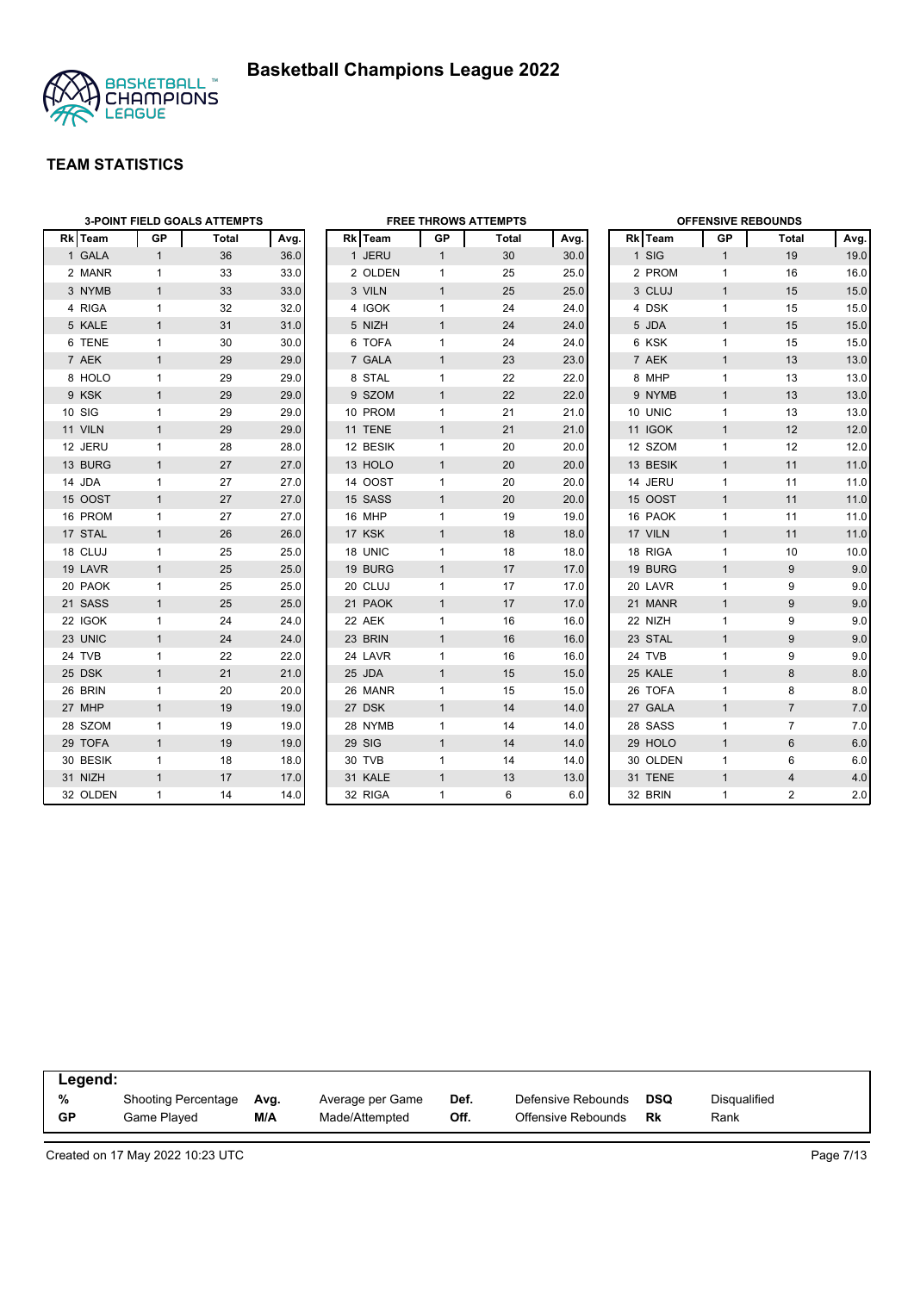

|          |              | <b>3-POINT FIELD GOALS ATTEMPTS</b> |      | <b>FREE THROWS ATTEMPTS</b> |              |       |      |          | <b>OFFENSIVE REBOUNDS</b> |                |                |  |  |
|----------|--------------|-------------------------------------|------|-----------------------------|--------------|-------|------|----------|---------------------------|----------------|----------------|--|--|
| Rk Team  | <b>GP</b>    | Total                               | Avg. | Rk Team                     | GP           | Total | Avg. | Rk Team  | <b>GP</b>                 | Total          | Avg            |  |  |
| 1 GALA   | $\mathbf{1}$ | 36                                  | 36.0 | 1 JERU                      | $\mathbf{1}$ | 30    | 30.0 | 1 SIG    | $\mathbf{1}$              | 19             | 19.0           |  |  |
| 2 MANR   | $\mathbf{1}$ | 33                                  | 33.0 | 2 OLDEN                     | 1            | 25    | 25.0 | 2 PROM   | $\mathbf{1}$              | 16             | 16.0           |  |  |
| 3 NYMB   | $\mathbf{1}$ | 33                                  | 33.0 | 3 VILN                      | $\mathbf{1}$ | 25    | 25.0 | 3 CLUJ   | $\mathbf{1}$              | 15             | 15.0           |  |  |
| 4 RIGA   | $\mathbf{1}$ | 32                                  | 32.0 | 4 IGOK                      | 1            | 24    | 24.0 | 4 DSK    | 1                         | 15             | 15.0           |  |  |
| 5 KALE   | $\mathbf{1}$ | 31                                  | 31.0 | 5 NIZH                      | $\mathbf{1}$ | 24    | 24.0 | 5 JDA    | $\mathbf{1}$              | 15             | 15.0           |  |  |
| 6 TENE   | $\mathbf{1}$ | 30                                  | 30.0 | 6 TOFA                      | $\mathbf{1}$ | 24    | 24.0 | 6 KSK    | 1                         | 15             | 15.0           |  |  |
| 7 AEK    | $\mathbf{1}$ | 29                                  | 29.0 | 7 GALA                      | $\mathbf{1}$ | 23    | 23.0 | 7 AEK    | $\mathbf{1}$              | 13             | 13.0           |  |  |
| 8 HOLO   | $\mathbf{1}$ | 29                                  | 29.0 | 8 STAL                      | 1            | 22    | 22.0 | 8 MHP    | 1                         | 13             | 13.0           |  |  |
| 9 KSK    | $\mathbf{1}$ | 29                                  | 29.0 | 9 SZOM                      | $\mathbf{1}$ | 22    | 22.0 | 9 NYMB   | $\mathbf{1}$              | 13             | 13.0           |  |  |
| 10 SIG   | $\mathbf{1}$ | 29                                  | 29.0 | 10 PROM                     | $\mathbf{1}$ | 21    | 21.0 | 10 UNIC  | 1                         | 13             | 13.0           |  |  |
| 11 VILN  | $\mathbf{1}$ | 29                                  | 29.0 | 11 TENE                     | $\mathbf{1}$ | 21    | 21.0 | 11 IGOK  | $\mathbf{1}$              | 12             | 12.0           |  |  |
| 12 JERU  | 1            | 28                                  | 28.0 | 12 BESIK                    | 1            | 20    | 20.0 | 12 SZOM  | $\mathbf{1}$              | 12             | 12.0           |  |  |
| 13 BURG  | $\mathbf{1}$ | 27                                  | 27.0 | 13 HOLO                     | $\mathbf{1}$ | 20    | 20.0 | 13 BESIK | $\mathbf{1}$              | 11             | 11.0           |  |  |
| 14 JDA   | $\mathbf{1}$ | 27                                  | 27.0 | 14 OOST                     | $\mathbf{1}$ | 20    | 20.0 | 14 JERU  | $\mathbf{1}$              | 11             | 11.0           |  |  |
| 15 OOST  | $\mathbf{1}$ | 27                                  | 27.0 | 15 SASS                     | $\mathbf{1}$ | 20    | 20.0 | 15 OOST  | $\mathbf{1}$              | 11             | 11.0           |  |  |
| 16 PROM  | $\mathbf{1}$ | 27                                  | 27.0 | 16 MHP                      | $\mathbf{1}$ | 19    | 19.0 | 16 PAOK  | 1                         | 11             | 11.0           |  |  |
| 17 STAL  | $\mathbf{1}$ | 26                                  | 26.0 | 17 KSK                      | $\mathbf{1}$ | 18    | 18.0 | 17 VILN  | $\mathbf{1}$              | 11             | 11.0           |  |  |
| 18 CLUJ  | $\mathbf{1}$ | 25                                  | 25.0 | 18 UNIC                     | $\mathbf{1}$ | 18    | 18.0 | 18 RIGA  | 1                         | 10             | 10.0           |  |  |
| 19 LAVR  | $\mathbf{1}$ | 25                                  | 25.0 | 19 BURG                     | $\mathbf{1}$ | 17    | 17.0 | 19 BURG  | $\mathbf{1}$              | 9              | 9(             |  |  |
| 20 PAOK  | $\mathbf{1}$ | 25                                  | 25.0 | 20 CLUJ                     | $\mathbf{1}$ | 17    | 17.0 | 20 LAVR  | 1                         | 9              | 9(             |  |  |
| 21 SASS  | $\mathbf{1}$ | 25                                  | 25.0 | 21 PAOK                     | $\mathbf{1}$ | 17    | 17.0 | 21 MANR  | $\mathbf{1}$              | 9              | 9(             |  |  |
| 22 IGOK  | $\mathbf{1}$ | 24                                  | 24.0 | 22 AEK                      | $\mathbf{1}$ | 16    | 16.0 | 22 NIZH  | 1                         | 9              | 9(             |  |  |
| 23 UNIC  | $\mathbf{1}$ | 24                                  | 24.0 | 23 BRIN                     | $\mathbf{1}$ | 16    | 16.0 | 23 STAL  | $\mathbf{1}$              | 9              | 9(             |  |  |
| 24 TVB   | $\mathbf{1}$ | 22                                  | 22.0 | 24 LAVR                     | 1            | 16    | 16.0 | 24 TVB   | 1                         | 9              | 9(             |  |  |
| 25 DSK   | $\mathbf{1}$ | 21                                  | 21.0 | 25 JDA                      | $\mathbf{1}$ | 15    | 15.0 | 25 KALE  | $\mathbf{1}$              | 8              | 8.0            |  |  |
| 26 BRIN  | 1            | 20                                  | 20.0 | 26 MANR                     | $\mathbf{1}$ | 15    | 15.0 | 26 TOFA  | 1                         | 8              | 8 <sub>0</sub> |  |  |
| 27 MHP   | $\mathbf{1}$ | 19                                  | 19.0 | 27 DSK                      | $\mathbf{1}$ | 14    | 14.0 | 27 GALA  | $\mathbf{1}$              | $\overline{7}$ | 7.0            |  |  |
| 28 SZOM  | $\mathbf{1}$ | 19                                  | 19.0 | 28 NYMB                     | 1            | 14    | 14.0 | 28 SASS  | 1                         | $\overline{7}$ | 7 <sub>.</sub> |  |  |
| 29 TOFA  | $\mathbf{1}$ | 19                                  | 19.0 | 29 SIG                      | $\mathbf{1}$ | 14    | 14.0 | 29 HOLO  | $\mathbf{1}$              | 6              | 6.0            |  |  |
| 30 BESIK | $\mathbf{1}$ | 18                                  | 18.0 | 30 TVB                      | $\mathbf{1}$ | 14    | 14.0 | 30 OLDEN | 1                         | 6              | 6.0            |  |  |
| 31 NIZH  | $\mathbf{1}$ | 17                                  | 17.0 | 31 KALE                     | $\mathbf{1}$ | 13    | 13.0 | 31 TENE  | $\mathbf{1}$              | $\overline{4}$ | 4.0            |  |  |
| 32 OLDEN | $\mathbf{1}$ | 14                                  | 14.0 | 32 RIGA                     | $\mathbf{1}$ | 6     | 6.0  | 32 BRIN  | $\mathbf{1}$              | 2              | 2.0            |  |  |

| Legend:   |                     |      |                  |      |                    |            |              |  |  |  |
|-----------|---------------------|------|------------------|------|--------------------|------------|--------------|--|--|--|
| %         | Shooting Percentage | Avg. | Average per Game | Def. | Defensive Rebounds | <b>DSQ</b> | Disgualified |  |  |  |
| <b>GP</b> | Game Played         | M/A  | Made/Attempted   | Off. | Offensive Rebounds | Rk         | Rank         |  |  |  |

Created on 17 May 2022 10:23 UTC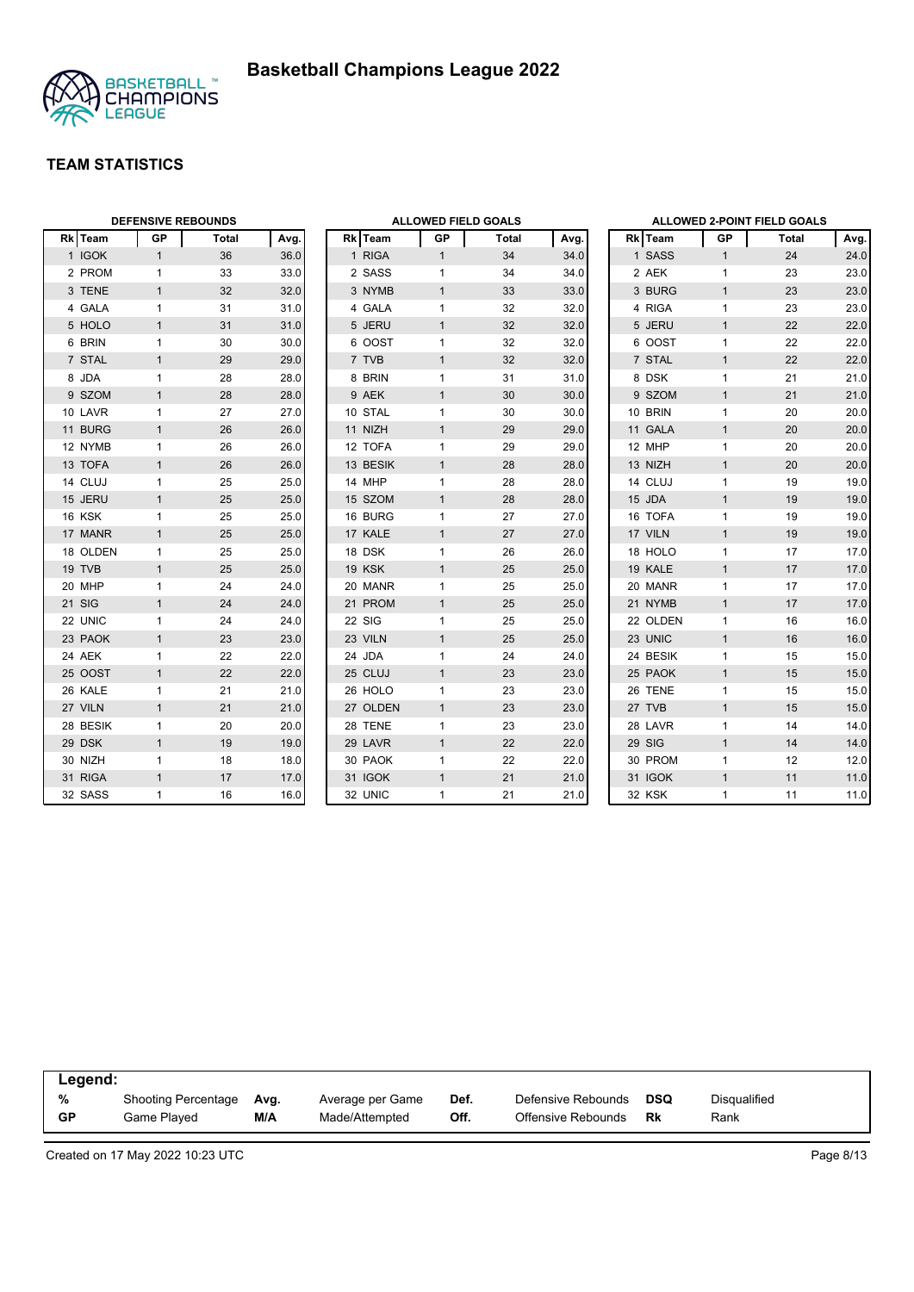

|          | <b>DEFENSIVE REBOUNDS</b> |       |      | <b>ALLOWED FIELD GOALS</b> |               |              | ALLOWED 2-POINT FIELD GOALS |      |          |              |       |      |
|----------|---------------------------|-------|------|----------------------------|---------------|--------------|-----------------------------|------|----------|--------------|-------|------|
| Rk Team  | GP                        | Total | Avg. |                            | Rk Team       | GP           | Total                       | Avg. | Rk Team  | GP           | Total | Avg. |
| 1 IGOK   | $\mathbf{1}$              | 36    | 36.0 |                            | 1 RIGA        | $\mathbf{1}$ | 34                          | 34.0 | 1 SASS   | $\mathbf{1}$ | 24    | 24.0 |
| 2 PROM   | $\mathbf{1}$              | 33    | 33.0 |                            | 2 SASS        | $\mathbf{1}$ | 34                          | 34.0 | 2 AEK    | $\mathbf{1}$ | 23    | 23.0 |
| 3 TENE   | $\mathbf{1}$              | 32    | 32.0 |                            | 3 NYMB        | $\mathbf{1}$ | 33                          | 33.0 | 3 BURG   | $\mathbf{1}$ | 23    | 23.0 |
| 4 GALA   | $\mathbf{1}$              | 31    | 31.0 |                            | 4 GALA        | 1            | 32                          | 32.0 | 4 RIGA   | $\mathbf{1}$ | 23    | 23.0 |
| 5 HOLO   | $\mathbf{1}$              | 31    | 31.0 |                            | 5 JERU        | $\mathbf{1}$ | 32                          | 32.0 | 5 JERU   | $\mathbf{1}$ | 22    | 22.0 |
| 6 BRIN   | $\mathbf{1}$              | 30    | 30.0 |                            | 6 OOST        | $\mathbf{1}$ | 32                          | 32.0 | 6 OOST   | $\mathbf{1}$ | 22    | 22.0 |
| 7 STAL   | $\mathbf{1}$              | 29    | 29.0 |                            | 7 TVB         | $\mathbf{1}$ | 32                          | 32.0 | 7 STAL   | $\mathbf{1}$ | 22    | 22.0 |
| 8 JDA    | $\mathbf{1}$              | 28    | 28.0 |                            | 8 BRIN        | $\mathbf{1}$ | 31                          | 31.0 | 8 DSK    | $\mathbf{1}$ | 21    | 21.0 |
| 9 SZOM   | $\mathbf{1}$              | 28    | 28.0 |                            | 9 AEK         | $\mathbf{1}$ | 30                          | 30.0 | 9 SZOM   | $\mathbf{1}$ | 21    | 21.0 |
| 10 LAVR  | $\mathbf{1}$              | 27    | 27.0 |                            | 10 STAL       | $\mathbf{1}$ | 30                          | 30.0 | 10 BRIN  | $\mathbf{1}$ | 20    | 20.0 |
| 11 BURG  | $\mathbf{1}$              | 26    | 26.0 |                            | 11 NIZH       | $\mathbf{1}$ | 29                          | 29.0 | 11 GALA  | $\mathbf{1}$ | 20    | 20.0 |
| 12 NYMB  | $\mathbf{1}$              | 26    | 26.0 |                            | 12 TOFA       | 1            | 29                          | 29.0 | 12 MHP   | $\mathbf{1}$ | 20    | 20.0 |
| 13 TOFA  | $\mathbf{1}$              | 26    | 26.0 |                            | 13 BESIK      | $\mathbf{1}$ | 28                          | 28.0 | 13 NIZH  | $\mathbf{1}$ | 20    | 20.0 |
| 14 CLUJ  | $\mathbf{1}$              | 25    | 25.0 |                            | 14 MHP        | $\mathbf{1}$ | 28                          | 28.0 | 14 CLUJ  | $\mathbf{1}$ | 19    | 19.0 |
| 15 JERU  | $\mathbf{1}$              | 25    | 25.0 |                            | 15 SZOM       | $\mathbf{1}$ | 28                          | 28.0 | 15 JDA   | $\mathbf{1}$ | 19    | 19.0 |
| 16 KSK   | $\mathbf{1}$              | 25    | 25.0 |                            | 16 BURG       | 1            | 27                          | 27.0 | 16 TOFA  | $\mathbf{1}$ | 19    | 19.0 |
| 17 MANR  | $\mathbf{1}$              | 25    | 25.0 |                            | 17 KALE       | $\mathbf{1}$ | 27                          | 27.0 | 17 VILN  | $\mathbf{1}$ | 19    | 19.0 |
| 18 OLDEN | $\mathbf{1}$              | 25    | 25.0 |                            | 18 DSK        | $\mathbf{1}$ | 26                          | 26.0 | 18 HOLO  | $\mathbf{1}$ | 17    | 17.0 |
| 19 TVB   | $\mathbf{1}$              | 25    | 25.0 |                            | <b>19 KSK</b> | $\mathbf{1}$ | 25                          | 25.0 | 19 KALE  | $\mathbf{1}$ | 17    | 17.0 |
| 20 MHP   | $\mathbf{1}$              | 24    | 24.0 |                            | 20 MANR       | $\mathbf{1}$ | 25                          | 25.0 | 20 MANR  | $\mathbf{1}$ | 17    | 17.0 |
| 21 SIG   | $\mathbf{1}$              | 24    | 24.0 |                            | 21 PROM       | $\mathbf{1}$ | 25                          | 25.0 | 21 NYMB  | $\mathbf{1}$ | 17    | 17.0 |
| 22 UNIC  | $\mathbf{1}$              | 24    | 24.0 |                            | 22 SIG        | $\mathbf{1}$ | 25                          | 25.0 | 22 OLDEN | $\mathbf{1}$ | 16    | 16.0 |
| 23 PAOK  | $\mathbf{1}$              | 23    | 23.0 |                            | 23 VILN       | $\mathbf{1}$ | 25                          | 25.0 | 23 UNIC  | $\mathbf{1}$ | 16    | 16.0 |
| 24 AEK   | $\mathbf{1}$              | 22    | 22.0 |                            | 24 JDA        | $\mathbf{1}$ | 24                          | 24.0 | 24 BESIK | $\mathbf{1}$ | 15    | 15.0 |
| 25 OOST  | $\mathbf{1}$              | 22    | 22.0 |                            | 25 CLUJ       | $\mathbf{1}$ | 23                          | 23.0 | 25 PAOK  | $\mathbf{1}$ | 15    | 15.0 |
| 26 KALE  | $\mathbf{1}$              | 21    | 21.0 |                            | 26 HOLO       | $\mathbf{1}$ | 23                          | 23.0 | 26 TENE  | $\mathbf{1}$ | 15    | 15.0 |
| 27 VILN  | $\mathbf{1}$              | 21    | 21.0 |                            | 27 OLDEN      | $\mathbf{1}$ | 23                          | 23.0 | 27 TVB   | $\mathbf{1}$ | 15    | 15.0 |
| 28 BESIK | $\mathbf{1}$              | 20    | 20.0 |                            | 28 TENE       | $\mathbf{1}$ | 23                          | 23.0 | 28 LAVR  | $\mathbf{1}$ | 14    | 14.0 |
| 29 DSK   | $\mathbf{1}$              | 19    | 19.0 |                            | 29 LAVR       | $\mathbf{1}$ | 22                          | 22.0 | 29 SIG   | $\mathbf{1}$ | 14    | 14.0 |
| 30 NIZH  | $\mathbf{1}$              | 18    | 18.0 |                            | 30 PAOK       | $\mathbf{1}$ | 22                          | 22.0 | 30 PROM  | $\mathbf{1}$ | 12    | 12.0 |
| 31 RIGA  | $\mathbf{1}$              | 17    | 17.0 |                            | 31 IGOK       | $\mathbf{1}$ | 21                          | 21.0 | 31 IGOK  | $\mathbf{1}$ | 11    | 11.0 |
| 32 SASS  | $\mathbf{1}$              | 16    | 16.0 |                            | 32 UNIC       | $\mathbf{1}$ | 21                          | 21.0 | 32 KSK   | $\mathbf{1}$ | 11    | 11.0 |

| Legend: |                            |      |                  |      |                    |     |              |  |
|---------|----------------------------|------|------------------|------|--------------------|-----|--------------|--|
| %       | <b>Shooting Percentage</b> | Ava. | Average per Game | Def. | Defensive Rebounds | DSQ | Disqualified |  |
| GP      | Game Played                | M/A  | Made/Attempted   | Off. | Offensive Rebounds | Rk  | Rank         |  |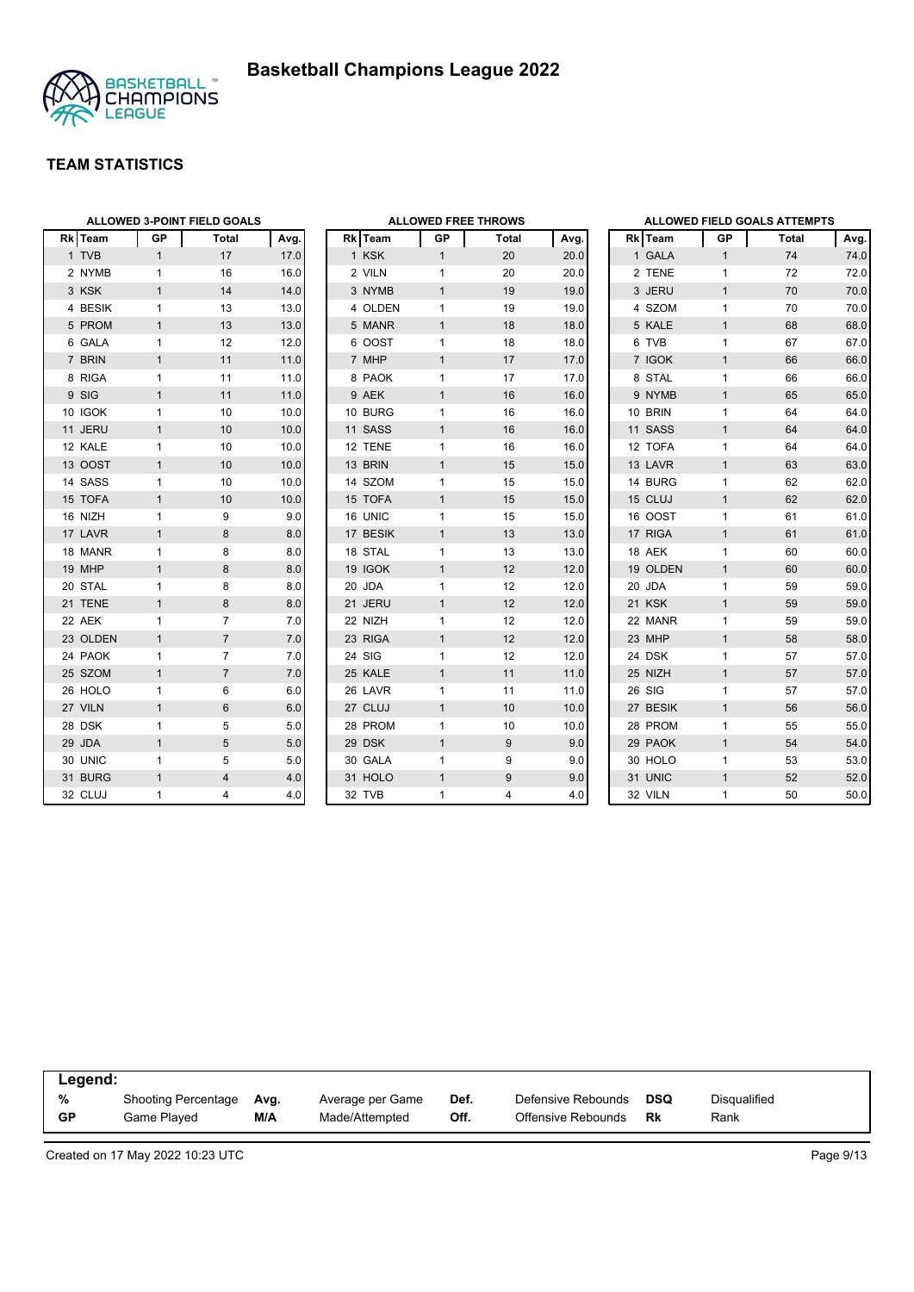

|          |                | <b>ALLOWED 3-POINT FIELD GOALS</b> |      |
|----------|----------------|------------------------------------|------|
| Rk Team  | <b>GP</b>      | <b>Total</b>                       | Avg. |
| 1 TVB    | $\mathbf{1}$   | 17                                 | 17.0 |
| 2 NYMB   | 1              | 16                                 | 16.0 |
| 3 KSK    | $\mathbf{1}$   | 14                                 | 14.0 |
| 4 BESIK  | 1              | 13                                 | 13.0 |
| 5 PROM   | 1              | 13                                 | 13.0 |
| 6 GALA   | 1              | 12                                 | 12.0 |
| 7 BRIN   | $\overline{1}$ | 11                                 | 11.0 |
| 8 RIGA   | 1              | 11                                 | 11.0 |
| 9 SIG    | 1              | 11                                 | 11.0 |
| 10 IGOK  | 1              | 10                                 | 10.0 |
| 11 JERU  | 1              | 10                                 | 10.0 |
| 12 KALE  | 1              | 10                                 | 10.0 |
| 13 OOST  | $\overline{1}$ | 10                                 | 10.0 |
| 14 SASS  | 1              | 10                                 | 10.0 |
| 15 TOFA  | $\mathbf{1}$   | 10                                 | 10.0 |
| 16 NIZH  | $\mathbf{1}$   | 9                                  | 9.0  |
| 17 LAVR  | $\overline{1}$ | 8                                  | 8.0  |
| 18 MANR  | 1              | 8                                  | 8.0  |
| 19 MHP   | 1              | 8                                  | 8.0  |
| 20 STAL  | 1              | 8                                  | 8.0  |
| 21 TENE  | 1              | 8                                  | 8.0  |
| 22 AEK   | 1              | 7                                  | 7.0  |
| 23 OLDEN | $\mathbf{1}$   | $\overline{7}$                     | 7.0  |
| 24 PAOK  | 1              | 7                                  | 7.0  |
| 25 SZOM  | $\mathbf{1}$   | $\overline{7}$                     | 7.0  |
| 26 HOLO  | 1              | 6                                  | 6.0  |
| 27 VILN  | $\overline{1}$ | 6                                  | 6.0  |
| 28 DSK   | 1              | 5                                  | 5.0  |
| 29 JDA   | 1              | 5                                  | 5.0  |
| 30 UNIC  | 1              | 5                                  | 5.0  |
| 31 BURG  | $\mathbf{1}$   | $\overline{4}$                     | 4.0  |
| 32 CLUJ  | $\mathbf{1}$   | 4                                  | 4.0  |

|                |              |                | <b>ALLOWED FREE THROWS</b> |      |
|----------------|--------------|----------------|----------------------------|------|
| Rk             | Team         | GP             | <b>Total</b>               | Avg. |
| 1              | <b>KSK</b>   | $\overline{1}$ | 20                         | 20.0 |
| $\overline{2}$ | <b>VILN</b>  | 1              | 20                         | 20.0 |
|                | 3 NYMB       | $\mathbf{1}$   | 19                         | 19.0 |
| 4              | <b>OLDEN</b> | 1              | 19                         | 19.0 |
| 5              | <b>MANR</b>  | $\mathbf{1}$   | 18                         | 18.0 |
| 6              | <b>OOST</b>  | 1              | 18                         | 18.0 |
| $\overline{7}$ | <b>MHP</b>   | $\mathbf{1}$   | 17                         | 17.0 |
| 8              | <b>PAOK</b>  | 1              | 17                         | 17.0 |
|                | 9 AEK        | $\overline{1}$ | 16                         | 16.0 |
|                | 10 BURG      | 1              | 16                         | 16.0 |
| 11             | <b>SASS</b>  | $\mathbf{1}$   | 16                         | 16.0 |
| 12             | <b>TENE</b>  | 1              | 16                         | 16.0 |
|                | 13 BRIN      | $\mathbf{1}$   | 15                         | 15.0 |
|                | 14 SZOM      | 1              | 15                         | 15.0 |
| 15             | <b>TOFA</b>  | $\mathbf{1}$   | 15                         | 15.0 |
| 16             | <b>UNIC</b>  | 1              | 15                         | 15.0 |
| 17             | <b>BESIK</b> | $\overline{1}$ | 13                         | 13.0 |
| 18             | <b>STAL</b>  | 1              | 13                         | 13.0 |
|                | 19 IGOK      | $\mathbf{1}$   | 12                         | 12.0 |
|                | 20 JDA       | 1              | 12                         | 12.0 |
| 21             | <b>JERU</b>  | $\overline{1}$ | 12                         | 12.0 |
| 22             | <b>NIZH</b>  | 1              | 12                         | 12.0 |
| 23             | <b>RIGA</b>  | $\overline{1}$ | 12                         | 12.0 |
| 24             | SIG          | 1              | 12                         | 12.0 |
|                | 25 KALE      | $\mathbf{1}$   | 11                         | 11.0 |
| 26             | LAVR         | 1              | 11                         | 11.0 |
| 27             | CLUJ         | $\mathbf{1}$   | 10                         | 10.0 |
| 28             | <b>PROM</b>  | 1              | 10                         | 10.0 |
| 29             | <b>DSK</b>   | $\overline{1}$ | 9                          | 9.0  |
|                | 30 GALA      | 1              | 9                          | 9.0  |
| 31             | <b>HOLO</b>  | $\overline{1}$ | 9                          | 9.0  |
| 32             | <b>TVB</b>   | 1              | 4                          | 4.0  |

|                |              |                | ALLOWED FIELD GOALS ATTEMPTS |      |
|----------------|--------------|----------------|------------------------------|------|
|                | Rk Team      | <b>GP</b>      | <b>Total</b>                 | Avg. |
|                | 1 GALA       | $\mathbf{1}$   | 74                           | 74.0 |
|                | 2 TENE       | 1              | 72                           | 72.0 |
|                | 3 JERU       | $\overline{1}$ | 70                           | 70.0 |
| $\overline{4}$ | <b>SZOM</b>  | 1              | 70                           | 70.0 |
| 5              | <b>KALE</b>  | $\overline{1}$ | 68                           | 68.0 |
| 6              | <b>TVB</b>   | 1              | 67                           | 67.0 |
| $\overline{7}$ | <b>IGOK</b>  | $\overline{1}$ | 66                           | 66.0 |
| 8              | <b>STAL</b>  | 1              | 66                           | 66.0 |
|                | 9 NYMB       | $\overline{1}$ | 65                           | 65.0 |
|                | 10 BRIN      | 1              | 64                           | 64.0 |
|                | 11 SASS      | $\overline{1}$ | 64                           | 64.0 |
|                | 12 TOFA      | 1              | 64                           | 64.0 |
|                | 13 LAVR      | $\overline{1}$ | 63                           | 63.0 |
|                | 14 BURG      | 1              | 62                           | 62.0 |
|                | 15 CLUJ      | $\overline{1}$ | 62                           | 62.0 |
|                | 16 OOST      | 1              | 61                           | 61.0 |
| 17             | <b>RIGA</b>  | $\overline{1}$ | 61                           | 61.0 |
|                | 18 AEK       | 1              | 60                           | 60.0 |
|                | 19 OLDEN     | $\overline{1}$ | 60                           | 60.0 |
|                | 20 JDA       | 1              | 59                           | 59.0 |
| 21             | <b>KSK</b>   | 1              | 59                           | 59.0 |
|                | 22 MANR      | 1              | 59                           | 59.0 |
| 23             | <b>MHP</b>   | $\overline{1}$ | 58                           | 58.0 |
|                | 24 DSK       | 1              | 57                           | 57.0 |
|                | 25 NIZH      | $\overline{1}$ | 57                           | 57.0 |
| 26             | SIG          | 1              | 57                           | 57.0 |
| 27             | <b>BESIK</b> | $\overline{1}$ | 56                           | 56.0 |
|                | 28 PROM      | 1              | 55                           | 55.0 |
|                | 29 PAOK      | $\overline{1}$ | 54                           | 54.0 |
|                | 30 HOLO      | 1              | 53                           | 53.0 |
| 31             | <b>UNIC</b>  | 1              | 52                           | 52.0 |
|                | 32 VILN      | 1              | 50                           | 50.0 |

| Legend:   |                     |      |                  |      |                    |     |              |  |
|-----------|---------------------|------|------------------|------|--------------------|-----|--------------|--|
| %         | Shooting Percentage | Ava. | Average per Game | Def. | Defensive Rebounds | DSQ | Disgualified |  |
| <b>GP</b> | Game Plaved         | M/A  | Made/Attempted   | Off. | Offensive Rebounds | Rk  | Rank         |  |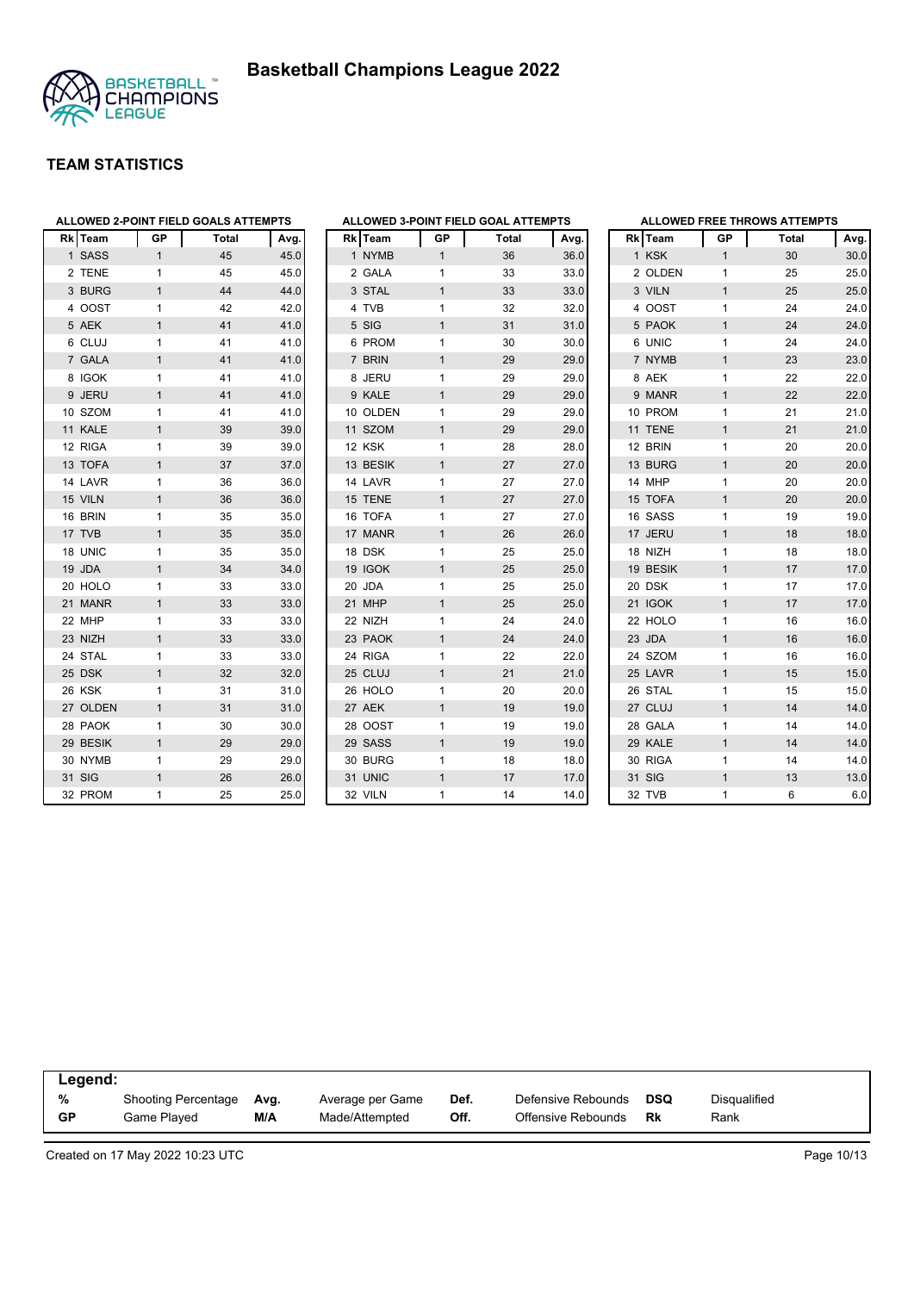



| <b>Rk</b> Team | GР             | <b>Total</b> | Avg. |
|----------------|----------------|--------------|------|
| 1 SASS         | 1              | 45           | 45.0 |
| 2 TENE         | 1              | 45           | 45.0 |
| 3 BURG         | $\mathbf{1}$   | 44           | 44.0 |
| 4 OOST         | 1              | 42           | 42.0 |
| 5 AEK          | 1              | 41           | 41.0 |
| 6 CLUJ         | 1              | 41           | 41.0 |
| 7 GALA         | 1              | 41           | 41.0 |
| 8 IGOK         | 1              | 41           | 41.0 |
| 9 JERU         | 1              | 41           | 41.0 |
| 10 SZOM        | 1              | 41           | 41.0 |
| 11 KALE        | 1              | 39           | 39.0 |
| 12 RIGA        | 1              | 39           | 39.0 |
| 13 TOFA        | 1              | 37           | 37.0 |
| 14 LAVR        | 1              | 36           | 36.0 |
| 15 VILN        | 1              | 36           | 36.0 |
| 16 BRIN        | 1              | 35           | 35.0 |
| 17 TVB         | $\overline{1}$ | 35           | 35.0 |
| 18 UNIC        | 1              | 35           | 35.0 |
| 19 JDA         | 1              | 34           | 34.0 |
| 20 HOLO        | 1              | 33           | 33.0 |
| 21 MANR        | 1              | 33           | 33.0 |
| 22 MHP         | 1              | 33           | 33.0 |
| 23 NIZH        | 1              | 33           | 33.0 |
| 24 STAL        | 1              | 33           | 33.0 |
| 25 DSK         | 1              | 32           | 32.0 |
| 26 KSK         | 1              | 31           | 31.0 |
| 27 OLDEN       | $\overline{1}$ | 31           | 31.0 |
| 28 PAOK        | 1              | 30           | 30.0 |
| 29 BESIK       | 1              | 29           | 29.0 |
| 30 NYMB        | 1              | 29           | 29.0 |
| 31 SIG         | $\overline{1}$ | 26           | 26.0 |
| 32 PROM        | 1              | 25           | 25.0 |

|                |             |                | ALLOWED 3-POINT FIELD GOAL ATTEMPTS |      |
|----------------|-------------|----------------|-------------------------------------|------|
|                | Rk Team     | GP             | Total                               | Avg. |
| $\mathbf{1}$   | <b>NYMB</b> | $\mathbf{1}$   | 36                                  | 36.0 |
| 2              | <b>GALA</b> | $\mathbf{1}$   | 33                                  | 33.0 |
| 3              | <b>STAL</b> | $\overline{1}$ | 33                                  | 33.0 |
| 4              | <b>TVB</b>  | 1              | 32                                  | 32.0 |
| 5              | SIG         | $\mathbf{1}$   | 31                                  | 31.0 |
| 6              | <b>PROM</b> | 1              | 30                                  | 30.0 |
| $\overline{7}$ | <b>BRIN</b> | $\overline{1}$ | 29                                  | 29.0 |
| 8              | <b>JERU</b> | 1              | 29                                  | 29.0 |
| 9              | <b>KALE</b> | $\overline{1}$ | 29                                  | 29.0 |
|                | 10 OLDEN    | 1              | 29                                  | 29.0 |
|                | 11 SZOM     | $\overline{1}$ | 29                                  | 29.0 |
|                | 12 KSK      | 1              | 28                                  | 28.0 |
|                | 13 BESIK    | $\overline{1}$ | 27                                  | 27.0 |
|                | 14 LAVR     | 1              | 27                                  | 27.0 |
|                | 15 TENE     | $\mathbf{1}$   | 27                                  | 27.0 |
|                | 16 TOFA     | 1              | 27                                  | 27.0 |
|                | 17 MANR     | $\overline{1}$ | 26                                  | 26.0 |
|                | 18 DSK      | 1              | 25                                  | 25.0 |
| 19             | <b>IGOK</b> | $\mathbf{1}$   | 25                                  | 25.0 |
| 20             | <b>JDA</b>  | 1              | 25                                  | 25.0 |
| 21             | <b>MHP</b>  | $\mathbf{1}$   | 25                                  | 25.0 |
|                | 22 NIZH     | 1              | 24                                  | 24.0 |
|                | 23 PAOK     | $\overline{1}$ | 24                                  | 24.0 |
|                | 24 RIGA     | 1              | 22                                  | 22.0 |
|                | 25 CLUJ     | $\mathbf{1}$   | 21                                  | 21.0 |
|                | 26 HOLO     | 1              | 20                                  | 20.0 |
|                | 27 AEK      | $\overline{1}$ | 19                                  | 19.0 |
|                | 28 OOST     | 1              | 19                                  | 19.0 |
| 29             | <b>SASS</b> | $\mathbf{1}$   | 19                                  | 19.0 |
| 30             | <b>BURG</b> | 1              | 18                                  | 18.0 |
| 31             | <b>UNIC</b> | $\overline{1}$ | 17                                  | 17.0 |
| 32             | <b>VILN</b> | 1              | 14                                  | 14.0 |

|    |            |                | <b>ALLOWED FREE THROWS ATTEMPTS</b> |      |
|----|------------|----------------|-------------------------------------|------|
|    | Rk Team    | <b>GP</b>      | <b>Total</b>                        | Avg. |
|    | 1 KSK      | 1              | 30                                  | 30.0 |
|    | 2 OLDEN    | 1              | 25                                  | 25.0 |
|    | 3 VILN     | 1              | 25                                  | 25.0 |
|    | 4 OOST     | 1              | 24                                  | 24.0 |
|    | 5 PAOK     | $\overline{1}$ | 24                                  | 24.0 |
|    | 6 UNIC     | 1              | 24                                  | 24.0 |
|    | 7 NYMB     | 1              | 23                                  | 23.0 |
|    | 8 AEK      | 1              | 22                                  | 22.0 |
|    | 9 MANR     | $\overline{1}$ | 22                                  | 22.0 |
|    | 10 PROM    | 1              | 21                                  | 21.0 |
|    | 11 TENE    | $\overline{1}$ | 21                                  | 21.0 |
|    | 12 BRIN    | 1              | 20                                  | 20.0 |
|    | 13 BURG    | $\overline{1}$ | 20                                  | 20.0 |
|    | 14 MHP     | 1              | 20                                  | 20.0 |
|    | 15 TOFA    | 1              | 20                                  | 20.0 |
|    | 16 SASS    | 1              | 19                                  | 19.0 |
|    | 17 JERU    | $\overline{1}$ | 18                                  | 18.0 |
|    | 18 NIZH    | 1              | 18                                  | 18.0 |
|    | 19 BESIK   | $\overline{1}$ | 17                                  | 17.0 |
|    | 20 DSK     | 1              | 17                                  | 17.0 |
|    | 21 IGOK    | $\overline{1}$ | 17                                  | 17.0 |
|    | 22 HOLO    | 1              | 16                                  | 16.0 |
| 23 | <b>JDA</b> | 1              | 16                                  | 16.0 |
|    | 24 SZOM    | 1              | 16                                  | 16.0 |
|    | 25 LAVR    | 1              | 15                                  | 15.0 |
|    | 26 STAL    | 1              | 15                                  | 15.0 |
|    | 27 CLUJ    | $\overline{1}$ | 14                                  | 14.0 |
|    | 28 GALA    | 1              | 14                                  | 14.0 |
|    | 29 KALE    | $\overline{1}$ | 14                                  | 14.0 |
|    | 30 RIGA    | 1              | 14                                  | 14.0 |
|    | 31 SIG     | $\overline{1}$ | 13                                  | 13.0 |
|    | 32 TVB     | 1              | 6                                   | 6.0  |

| Legend:        |                                    |             |                                    |              |                                          |           |                             |  |
|----------------|------------------------------------|-------------|------------------------------------|--------------|------------------------------------------|-----------|-----------------------------|--|
| %<br><b>GP</b> | Shooting Percentage<br>Game Played | Ava.<br>M/A | Average per Game<br>Made/Attempted | Def.<br>Off. | Defensive Rebounds<br>Offensive Rebounds | DSQ<br>Rk | <b>Disqualified</b><br>Rank |  |
|                |                                    |             |                                    |              |                                          |           |                             |  |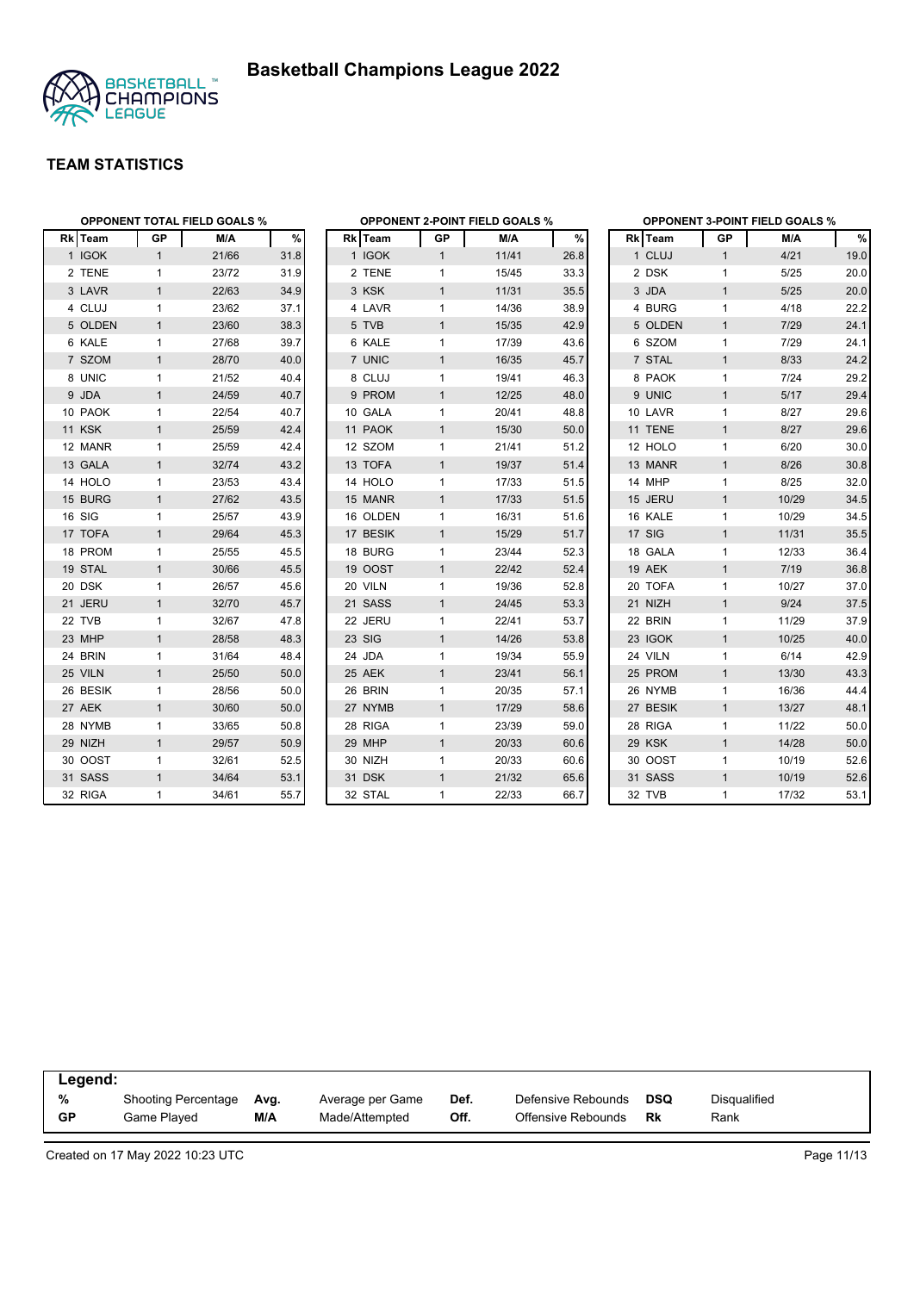



| <b>OPPONENT TOTAL FIELD GOALS %</b> |              |       |      |          |              | <b>OPPONENT 2-POINT FIELD GOALS %</b> |      | <b>OPPONENT 3-POINT FIELD GOALS %</b> |              |        |      |  |  |
|-------------------------------------|--------------|-------|------|----------|--------------|---------------------------------------|------|---------------------------------------|--------------|--------|------|--|--|
| Rk Team                             | GP           | M/A   | %    | Rk Team  | GP           | M/A                                   | %    | Rk Team                               | GP           | M/A    | %    |  |  |
| 1 IGOK                              | $\mathbf{1}$ | 21/66 | 31.8 | 1 IGOK   | $\mathbf{1}$ | 11/41                                 | 26.8 | 1 CLUJ                                | $\mathbf{1}$ | 4/21   | 19.0 |  |  |
| 2 TENE                              | 1            | 23/72 | 31.9 | 2 TENE   | 1            | 15/45                                 | 33.3 | 2 DSK                                 | 1            | 5/25   | 20.0 |  |  |
| 3 LAVR                              | $\mathbf{1}$ | 22/63 | 34.9 | 3 KSK    | $\mathbf{1}$ | 11/31                                 | 35.5 | 3 JDA                                 | $\mathbf{1}$ | $5/25$ | 20.0 |  |  |
| 4 CLUJ                              | $\mathbf{1}$ | 23/62 | 37.1 | 4 LAVR   | 1            | 14/36                                 | 38.9 | 4 BURG                                | $\mathbf{1}$ | 4/18   | 22.2 |  |  |
| 5 OLDEN                             | $\mathbf{1}$ | 23/60 | 38.3 | 5 TVB    | $\mathbf{1}$ | 15/35                                 | 42.9 | 5 OLDEN                               | $\mathbf{1}$ | 7/29   | 24.1 |  |  |
| 6 KALE                              | $\mathbf{1}$ | 27/68 | 39.7 | 6 KALE   | 1            | 17/39                                 | 43.6 | 6 SZOM                                | $\mathbf{1}$ | 7/29   | 24.1 |  |  |
| 7 SZOM                              | $\mathbf{1}$ | 28/70 | 40.0 | 7 UNIC   | $\mathbf{1}$ | 16/35                                 | 45.7 | 7 STAL                                | $\mathbf{1}$ | 8/33   | 24.2 |  |  |
| 8 UNIC                              | 1            | 21/52 | 40.4 | 8 CLUJ   | $\mathbf{1}$ | 19/41                                 | 46.3 | 8 PAOK                                | $\mathbf{1}$ | 7/24   | 29.2 |  |  |
| 9 JDA                               | $\mathbf{1}$ | 24/59 | 40.7 | 9 PROM   | $\mathbf{1}$ | 12/25                                 | 48.0 | 9 UNIC                                | $\mathbf{1}$ | 5/17   | 29.4 |  |  |
| 10 PAOK                             | $\mathbf{1}$ | 22/54 | 40.7 | 10 GALA  | $\mathbf{1}$ | 20/41                                 | 48.8 | 10 LAVR                               | $\mathbf{1}$ | 8/27   | 29.6 |  |  |
| <b>11 KSK</b>                       | $\mathbf{1}$ | 25/59 | 42.4 | 11 PAOK  | $\mathbf{1}$ | 15/30                                 | 50.0 | 11 TENE                               | $\mathbf{1}$ | 8/27   | 29.6 |  |  |
| 12 MANR                             | $\mathbf{1}$ | 25/59 | 42.4 | 12 SZOM  | 1            | 21/41                                 | 51.2 | 12 HOLO                               | 1            | 6/20   | 30.0 |  |  |
| 13 GALA                             | $\mathbf{1}$ | 32/74 | 43.2 | 13 TOFA  | $\mathbf{1}$ | 19/37                                 | 51.4 | 13 MANR                               | $\mathbf{1}$ | 8/26   | 30.8 |  |  |
| 14 HOLO                             | $\mathbf{1}$ | 23/53 | 43.4 | 14 HOLO  | $\mathbf{1}$ | 17/33                                 | 51.5 | 14 MHP                                | $\mathbf{1}$ | 8/25   | 32.0 |  |  |
| 15 BURG                             | $\mathbf{1}$ | 27/62 | 43.5 | 15 MANR  | $\mathbf{1}$ | 17/33                                 | 51.5 | 15 JERU                               | $\mathbf{1}$ | 10/29  | 34.5 |  |  |
| 16 SIG                              | $\mathbf{1}$ | 25/57 | 43.9 | 16 OLDEN | $\mathbf{1}$ | 16/31                                 | 51.6 | 16 KALE                               | 1            | 10/29  | 34.5 |  |  |
| 17 TOFA                             | $\mathbf{1}$ | 29/64 | 45.3 | 17 BESIK | $\mathbf{1}$ | 15/29                                 | 51.7 | 17 SIG                                | $\mathbf{1}$ | 11/31  | 35.5 |  |  |
| 18 PROM                             | 1            | 25/55 | 45.5 | 18 BURG  | 1            | 23/44                                 | 52.3 | 18 GALA                               | $\mathbf{1}$ | 12/33  | 36.4 |  |  |
| 19 STAL                             | $\mathbf{1}$ | 30/66 | 45.5 | 19 OOST  | $\mathbf{1}$ | 22/42                                 | 52.4 | <b>19 AEK</b>                         | $\mathbf{1}$ | 7/19   | 36.8 |  |  |
| 20 DSK                              | $\mathbf{1}$ | 26/57 | 45.6 | 20 VILN  | $\mathbf{1}$ | 19/36                                 | 52.8 | 20 TOFA                               | $\mathbf{1}$ | 10/27  | 37.0 |  |  |
| 21 JERU                             | $\mathbf{1}$ | 32/70 | 45.7 | 21 SASS  | $\mathbf{1}$ | 24/45                                 | 53.3 | 21 NIZH                               | $\mathbf{1}$ | 9/24   | 37.5 |  |  |
| 22 TVB                              | 1            | 32/67 | 47.8 | 22 JERU  | 1            | 22/41                                 | 53.7 | 22 BRIN                               | 1            | 11/29  | 37.9 |  |  |
| 23 MHP                              | $\mathbf{1}$ | 28/58 | 48.3 | 23 SIG   | $\mathbf{1}$ | 14/26                                 | 53.8 | 23 IGOK                               | $\mathbf{1}$ | 10/25  | 40.0 |  |  |
| 24 BRIN                             | $\mathbf{1}$ | 31/64 | 48.4 | 24 JDA   | $\mathbf{1}$ | 19/34                                 | 55.9 | 24 VILN                               | $\mathbf{1}$ | 6/14   | 42.9 |  |  |
| 25 VILN                             | $\mathbf{1}$ | 25/50 | 50.0 | 25 AEK   | $\mathbf{1}$ | 23/41                                 | 56.1 | 25 PROM                               | $\mathbf{1}$ | 13/30  | 43.3 |  |  |
| 26 BESIK                            | 1            | 28/56 | 50.0 | 26 BRIN  | $\mathbf{1}$ | 20/35                                 | 57.1 | 26 NYMB                               | $\mathbf{1}$ | 16/36  | 44.4 |  |  |
| 27 AEK                              | $\mathbf{1}$ | 30/60 | 50.0 | 27 NYMB  | $\mathbf{1}$ | 17/29                                 | 58.6 | 27 BESIK                              | $\mathbf{1}$ | 13/27  | 48.1 |  |  |
| 28 NYMB                             | $\mathbf{1}$ | 33/65 | 50.8 | 28 RIGA  | $\mathbf{1}$ | 23/39                                 | 59.0 | 28 RIGA                               | 1            | 11/22  | 50.0 |  |  |
| 29 NIZH                             | $\mathbf{1}$ | 29/57 | 50.9 | 29 MHP   | $\mathbf{1}$ | 20/33                                 | 60.6 | 29 KSK                                | $\mathbf{1}$ | 14/28  | 50.0 |  |  |
| 30 OOST                             | $\mathbf{1}$ | 32/61 | 52.5 | 30 NIZH  | $\mathbf{1}$ | 20/33                                 | 60.6 | 30 OOST                               | $\mathbf{1}$ | 10/19  | 52.6 |  |  |
| 31 SASS                             | $\mathbf{1}$ | 34/64 | 53.1 | 31 DSK   | $\mathbf{1}$ | 21/32                                 | 65.6 | 31 SASS                               | $\mathbf{1}$ | 10/19  | 52.6 |  |  |
| 32 RIGA                             | $\mathbf{1}$ | 34/61 | 55.7 | 32 STAL  | 1            | 22/33                                 | 66.7 | 32 TVB                                | $\mathbf{1}$ | 17/32  | 53.1 |  |  |

| Legend:   |                            |      |                  |      |                    |            |              |  |  |  |
|-----------|----------------------------|------|------------------|------|--------------------|------------|--------------|--|--|--|
| %         | <b>Shooting Percentage</b> | Avg. | Average per Game | Def. | Defensive Rebounds | <b>DSQ</b> | Disqualified |  |  |  |
| <b>GP</b> | Game Played                | M/A  | Made/Attempted   | Off. | Offensive Rebounds | Rk         | Rank         |  |  |  |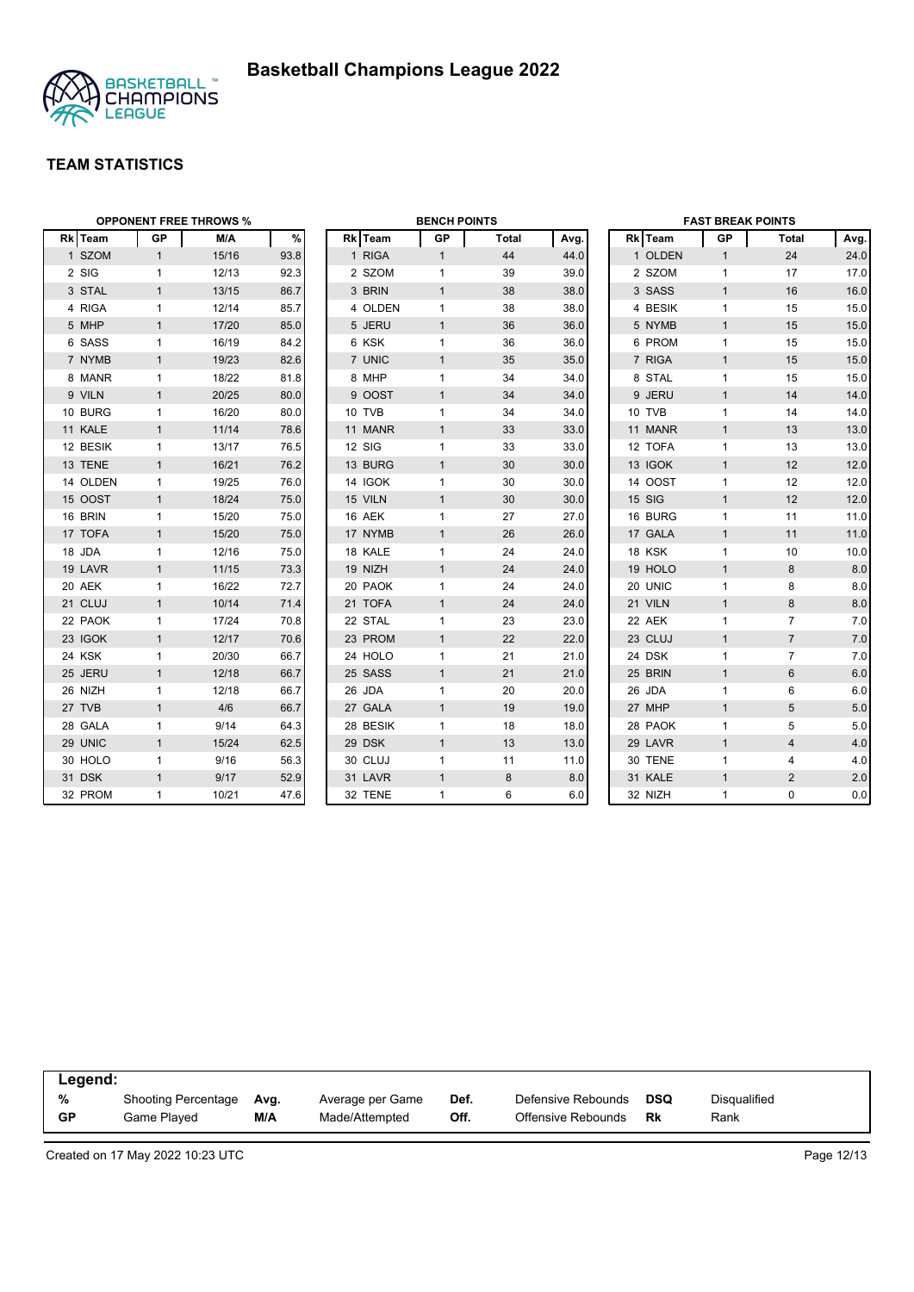

|          | <b>OPPONENT FREE THROWS %</b> |       |      |  | <b>BENCH POINTS</b> |              |              |      |  | <b>FAST BREAK POINTS</b> |              |                |      |
|----------|-------------------------------|-------|------|--|---------------------|--------------|--------------|------|--|--------------------------|--------------|----------------|------|
| Rk Team  | GP                            | M/A   | %    |  | Rk Team             | GP           | <b>Total</b> | Avg. |  | Rk Team                  | GP           | Total          | Avg. |
| 1 SZOM   | $\mathbf{1}$                  | 15/16 | 93.8 |  | 1 RIGA              | $\mathbf{1}$ | 44           | 44.0 |  | 1 OLDEN                  | $\mathbf{1}$ | 24             | 24.0 |
| 2 SIG    | $\mathbf{1}$                  | 12/13 | 92.3 |  | 2 SZOM              | $\mathbf{1}$ | 39           | 39.0 |  | 2 SZOM                   | $\mathbf{1}$ | 17             | 17.0 |
| 3 STAL   | $\mathbf{1}$                  | 13/15 | 86.7 |  | 3 BRIN              | $\mathbf{1}$ | 38           | 38.0 |  | 3 SASS                   | $\mathbf{1}$ | 16             | 16.0 |
| 4 RIGA   | $\mathbf{1}$                  | 12/14 | 85.7 |  | 4 OLDEN             | $\mathbf{1}$ | 38           | 38.0 |  | 4 BESIK                  | $\mathbf{1}$ | 15             | 15.0 |
| 5 MHP    | $\mathbf{1}$                  | 17/20 | 85.0 |  | 5 JERU              | $\mathbf{1}$ | 36           | 36.0 |  | 5 NYMB                   | $\mathbf{1}$ | 15             | 15.0 |
| 6 SASS   | $\mathbf{1}$                  | 16/19 | 84.2 |  | 6 KSK               | $\mathbf{1}$ | 36           | 36.0 |  | 6 PROM                   | $\mathbf{1}$ | 15             | 15.0 |
| 7 NYMB   | $\mathbf{1}$                  | 19/23 | 82.6 |  | 7 UNIC              | $\mathbf{1}$ | 35           | 35.0 |  | 7 RIGA                   | $\mathbf{1}$ | 15             | 15.0 |
| 8 MANR   | $\mathbf{1}$                  | 18/22 | 81.8 |  | 8 MHP               | $\mathbf{1}$ | 34           | 34.0 |  | 8 STAL                   | $\mathbf{1}$ | 15             | 15.0 |
| 9 VILN   | $\mathbf{1}$                  | 20/25 | 80.0 |  | 9 OOST              | $\mathbf{1}$ | 34           | 34.0 |  | 9 JERU                   | $\mathbf{1}$ | 14             | 14.0 |
| 10 BURG  | $\mathbf{1}$                  | 16/20 | 80.0 |  | 10 TVB              | $\mathbf{1}$ | 34           | 34.0 |  | 10 TVB                   | $\mathbf{1}$ | 14             | 14.0 |
| 11 KALE  | $\mathbf{1}$                  | 11/14 | 78.6 |  | 11 MANR             | $\mathbf{1}$ | 33           | 33.0 |  | 11 MANR                  | $\mathbf{1}$ | 13             | 13.0 |
| 12 BESIK | $\mathbf{1}$                  | 13/17 | 76.5 |  | 12 SIG              | $\mathbf{1}$ | 33           | 33.0 |  | 12 TOFA                  | $\mathbf{1}$ | 13             | 13.0 |
| 13 TENE  | $\mathbf{1}$                  | 16/21 | 76.2 |  | 13 BURG             | $\mathbf{1}$ | 30           | 30.0 |  | 13 IGOK                  | $\mathbf{1}$ | 12             | 12.0 |
| 14 OLDEN | $\mathbf{1}$                  | 19/25 | 76.0 |  | 14 IGOK             | $\mathbf{1}$ | 30           | 30.0 |  | 14 OOST                  | $\mathbf{1}$ | 12             | 12.0 |
| 15 OOST  | $\mathbf{1}$                  | 18/24 | 75.0 |  | 15 VILN             | $\mathbf{1}$ | 30           | 30.0 |  | 15 SIG                   | $\mathbf{1}$ | 12             | 12.0 |
| 16 BRIN  | $\mathbf{1}$                  | 15/20 | 75.0 |  | 16 AEK              | $\mathbf{1}$ | 27           | 27.0 |  | 16 BURG                  | $\mathbf{1}$ | 11             | 11.0 |
| 17 TOFA  | $\mathbf{1}$                  | 15/20 | 75.0 |  | 17 NYMB             | $\mathbf{1}$ | 26           | 26.0 |  | 17 GALA                  | $\mathbf{1}$ | 11             | 11.0 |
| 18 JDA   | $\mathbf{1}$                  | 12/16 | 75.0 |  | 18 KALE             | $\mathbf{1}$ | 24           | 24.0 |  | 18 KSK                   | $\mathbf{1}$ | 10             | 10.0 |
| 19 LAVR  | $\mathbf{1}$                  | 11/15 | 73.3 |  | 19 NIZH             | $\mathbf{1}$ | 24           | 24.0 |  | 19 HOLO                  | $\mathbf{1}$ | 8              | 8.0  |
| 20 AEK   | $\mathbf{1}$                  | 16/22 | 72.7 |  | 20 PAOK             | 1            | 24           | 24.0 |  | 20 UNIC                  | $\mathbf{1}$ | 8              | 8.0  |
| 21 CLUJ  | $\mathbf{1}$                  | 10/14 | 71.4 |  | 21 TOFA             | $\mathbf{1}$ | 24           | 24.0 |  | 21 VILN                  | $\mathbf{1}$ | 8              | 8.0  |
| 22 PAOK  | $\mathbf{1}$                  | 17/24 | 70.8 |  | 22 STAL             | $\mathbf{1}$ | 23           | 23.0 |  | 22 AEK                   | $\mathbf{1}$ | $\overline{7}$ | 7.0  |
| 23 IGOK  | $\mathbf{1}$                  | 12/17 | 70.6 |  | 23 PROM             | $\mathbf{1}$ | 22           | 22.0 |  | 23 CLUJ                  | $\mathbf{1}$ | $\overline{7}$ | 7.0  |
| 24 KSK   | $\mathbf{1}$                  | 20/30 | 66.7 |  | 24 HOLO             | $\mathbf{1}$ | 21           | 21.0 |  | 24 DSK                   | $\mathbf{1}$ | $\overline{7}$ | 7.0  |
| 25 JERU  | $\mathbf{1}$                  | 12/18 | 66.7 |  | 25 SASS             | $\mathbf{1}$ | 21           | 21.0 |  | 25 BRIN                  | $\mathbf{1}$ | 6              | 6.0  |
| 26 NIZH  | $\mathbf{1}$                  | 12/18 | 66.7 |  | 26 JDA              | $\mathbf{1}$ | 20           | 20.0 |  | 26 JDA                   | $\mathbf{1}$ | 6              | 6.0  |
| 27 TVB   | $\mathbf{1}$                  | 4/6   | 66.7 |  | 27 GALA             | $\mathbf{1}$ | 19           | 19.0 |  | 27 MHP                   | $\mathbf{1}$ | 5              | 5.0  |
| 28 GALA  | $\mathbf{1}$                  | 9/14  | 64.3 |  | 28 BESIK            | 1            | 18           | 18.0 |  | 28 PAOK                  | $\mathbf{1}$ | 5              | 5.0  |
| 29 UNIC  | $\mathbf{1}$                  | 15/24 | 62.5 |  | 29 DSK              | $\mathbf{1}$ | 13           | 13.0 |  | 29 LAVR                  | $\mathbf{1}$ | 4              | 4.0  |
| 30 HOLO  | $\mathbf{1}$                  | 9/16  | 56.3 |  | 30 CLUJ             | $\mathbf{1}$ | 11           | 11.0 |  | 30 TENE                  | $\mathbf{1}$ | 4              | 4.0  |
| 31 DSK   | $\mathbf{1}$                  | 9/17  | 52.9 |  | 31 LAVR             | $\mathbf{1}$ | $\bf 8$      | 8.0  |  | 31 KALE                  | $\mathbf{1}$ | $\overline{c}$ | 2.0  |
| 32 PROM  | $\mathbf{1}$                  | 10/21 | 47.6 |  | 32 TENE             | $\mathbf{1}$ | 6            | 6.0  |  | 32 NIZH                  | $\mathbf{1}$ | $\mathbf 0$    | 0.0  |

| Legend:   |                            |      |                  |      |                    |     |              |  |  |  |
|-----------|----------------------------|------|------------------|------|--------------------|-----|--------------|--|--|--|
| %         | <b>Shooting Percentage</b> | Ava. | Average per Game | Def. | Defensive Rebounds | DSQ | Disqualified |  |  |  |
| <b>GP</b> | Game Plaved                | M/A  | Made/Attempted   | Off. | Offensive Rebounds | Rk  | Rank         |  |  |  |